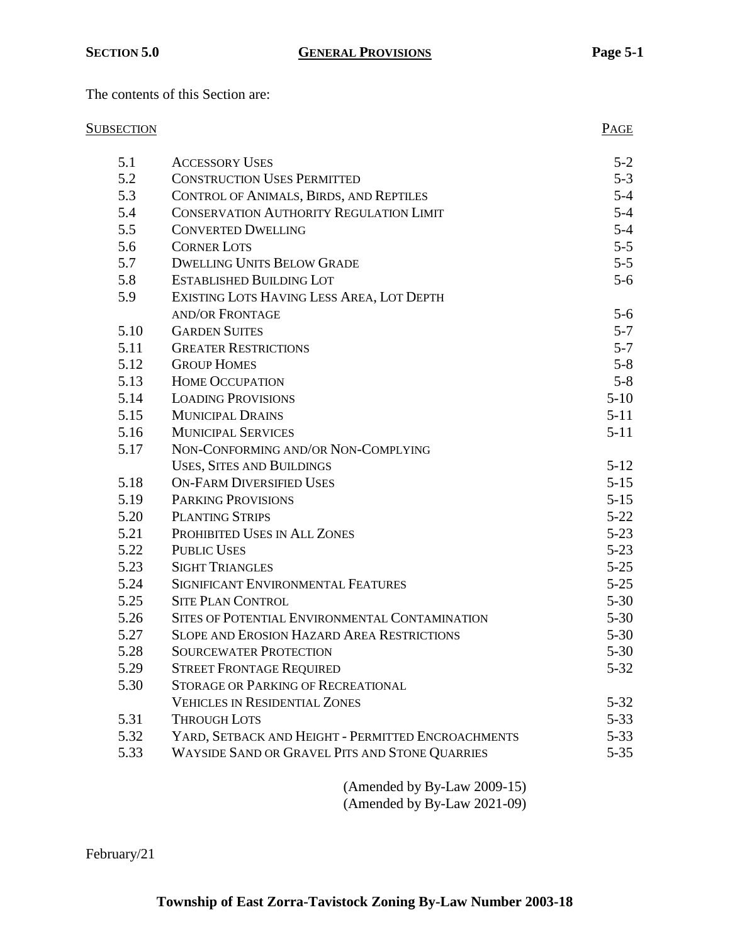The contents of this Section are:

# SUBSECTION PAGE

| 5.1  | <b>ACCESSORY USES</b>                              | $5 - 2$  |
|------|----------------------------------------------------|----------|
| 5.2  | <b>CONSTRUCTION USES PERMITTED</b>                 | $5 - 3$  |
| 5.3  | CONTROL OF ANIMALS, BIRDS, AND REPTILES            | $5 - 4$  |
| 5.4  | <b>CONSERVATION AUTHORITY REGULATION LIMIT</b>     | $5 - 4$  |
| 5.5  | <b>CONVERTED DWELLING</b>                          | $5-4$    |
| 5.6  | <b>CORNER LOTS</b>                                 | $5 - 5$  |
| 5.7  | <b>DWELLING UNITS BELOW GRADE</b>                  | $5 - 5$  |
| 5.8  | <b>ESTABLISHED BUILDING LOT</b>                    | $5-6$    |
| 5.9  | EXISTING LOTS HAVING LESS AREA, LOT DEPTH          |          |
|      | <b>AND/OR FRONTAGE</b>                             | $5-6$    |
| 5.10 | <b>GARDEN SUITES</b>                               | $5 - 7$  |
| 5.11 | <b>GREATER RESTRICTIONS</b>                        | $5 - 7$  |
| 5.12 | <b>GROUP HOMES</b>                                 | $5 - 8$  |
| 5.13 | <b>HOME OCCUPATION</b>                             | $5 - 8$  |
| 5.14 | <b>LOADING PROVISIONS</b>                          | $5-10$   |
| 5.15 | <b>MUNICIPAL DRAINS</b>                            | $5-11$   |
| 5.16 | <b>MUNICIPAL SERVICES</b>                          | $5-11$   |
| 5.17 | NON-CONFORMING AND/OR NON-COMPLYING                |          |
|      | <b>USES, SITES AND BUILDINGS</b>                   | $5 - 12$ |
| 5.18 | <b>ON-FARM DIVERSIFIED USES</b>                    | $5-15$   |
| 5.19 | <b>PARKING PROVISIONS</b>                          | $5 - 15$ |
| 5.20 | <b>PLANTING STRIPS</b>                             | $5 - 22$ |
| 5.21 | PROHIBITED USES IN ALL ZONES                       | $5 - 23$ |
| 5.22 | <b>PUBLIC USES</b>                                 | $5 - 23$ |
| 5.23 | <b>SIGHT TRIANGLES</b>                             | $5 - 25$ |
| 5.24 | <b>SIGNIFICANT ENVIRONMENTAL FEATURES</b>          | $5 - 25$ |
| 5.25 | <b>SITE PLAN CONTROL</b>                           | $5 - 30$ |
| 5.26 | SITES OF POTENTIAL ENVIRONMENTAL CONTAMINATION     | $5 - 30$ |
| 5.27 | <b>SLOPE AND EROSION HAZARD AREA RESTRICTIONS</b>  | $5 - 30$ |
| 5.28 | <b>SOURCEWATER PROTECTION</b>                      | $5 - 30$ |
| 5.29 | <b>STREET FRONTAGE REQUIRED</b>                    | $5 - 32$ |
| 5.30 | <b>STORAGE OR PARKING OF RECREATIONAL</b>          |          |
|      | <b>VEHICLES IN RESIDENTIAL ZONES</b>               | $5 - 32$ |
| 5.31 | <b>THROUGH LOTS</b>                                | $5 - 33$ |
| 5.32 | YARD, SETBACK AND HEIGHT - PERMITTED ENCROACHMENTS | $5 - 33$ |
| 5.33 | WAYSIDE SAND OR GRAVEL PITS AND STONE QUARRIES     | $5 - 35$ |
|      |                                                    |          |

(Amended by By-Law 2009-15) (Amended by By-Law 2021-09)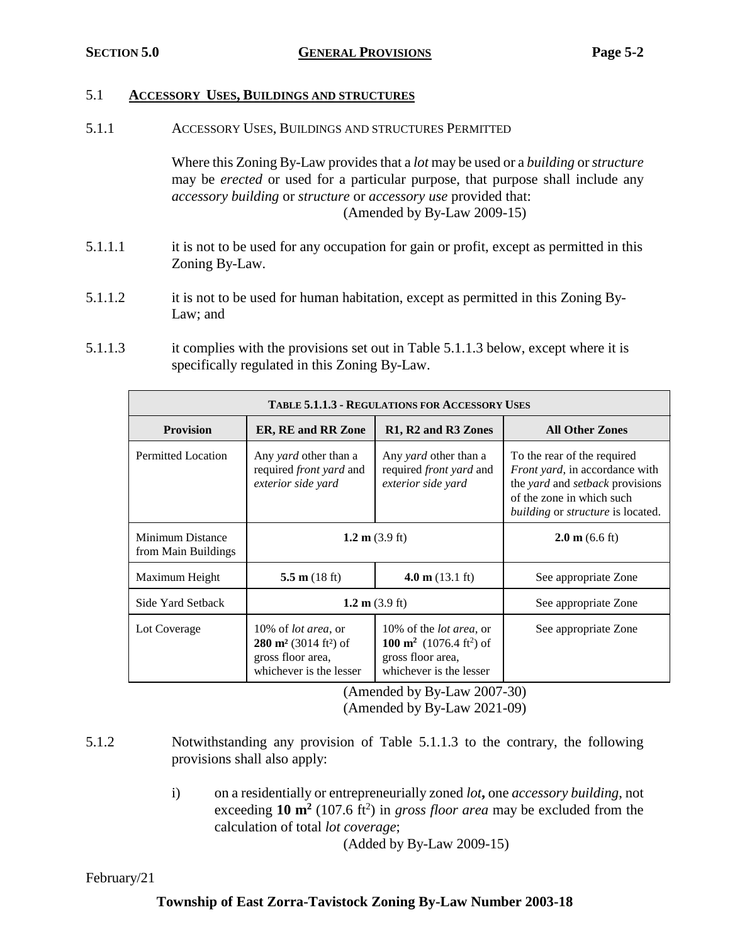## 5.1 **ACCESSORY USES, BUILDINGS AND STRUCTURES**

5.1.1 ACCESSORY USES, BUILDINGS AND STRUCTURES PERMITTED

Where this Zoning By-Law provides that a *lot* may be used or a *building* or *structure* may be *erected* or used for a particular purpose, that purpose shall include any *accessory building* or *structure* or *accessory use* provided that: (Amended by By-Law 2009-15)

- 5.1.1.1 it is not to be used for any occupation for gain or profit, except as permitted in this Zoning By-Law.
- 5.1.1.2 it is not to be used for human habitation, except as permitted in this Zoning By-Law; and
- 5.1.1.3 it complies with the provisions set out in Table 5.1.1.3 below, except where it is specifically regulated in this Zoning By-Law.

| <b>TABLE 5.1.1.3 - REGULATIONS FOR ACCESSORY USES</b> |                                                                                                                             |                                                                                                                                    |                                                                                                                                                                                                        |  |
|-------------------------------------------------------|-----------------------------------------------------------------------------------------------------------------------------|------------------------------------------------------------------------------------------------------------------------------------|--------------------------------------------------------------------------------------------------------------------------------------------------------------------------------------------------------|--|
| <b>Provision</b>                                      | <b>ER, RE and RR Zone</b>                                                                                                   | R1, R2 and R3 Zones                                                                                                                | <b>All Other Zones</b>                                                                                                                                                                                 |  |
| Permitted Location                                    | Any yard other than a<br>required <i>front yard</i> and<br>exterior side yard                                               | Any yard other than a<br>required <i>front yard</i> and<br>exterior side yard                                                      | To the rear of the required<br><i>Front yard</i> , in accordance with<br>the <i>yard</i> and <i>setback</i> provisions<br>of the zone in which such<br><i>building</i> or <i>structure</i> is located. |  |
| Minimum Distance<br>from Main Buildings               | 1.2 m $(3.9 \text{ ft})$                                                                                                    |                                                                                                                                    | $2.0 \text{ m}$ (6.6 ft)                                                                                                                                                                               |  |
| Maximum Height                                        | 5.5 m $(18 \text{ ft})$                                                                                                     | 4.0 m $(13.1 \text{ ft})$                                                                                                          | See appropriate Zone                                                                                                                                                                                   |  |
| Side Yard Setback                                     | 1.2 m $(3.9 \text{ ft})$                                                                                                    |                                                                                                                                    | See appropriate Zone                                                                                                                                                                                   |  |
| Lot Coverage                                          | 10% of <i>lot area</i> , or<br>$280 \text{ m}^2$ (3014 ft <sup>2</sup> ) of<br>gross floor area,<br>whichever is the lesser | 10% of the <i>lot area</i> , or<br>100 m <sup>2</sup> (1076.4 ft <sup>2</sup> ) of<br>gross floor area,<br>whichever is the lesser | See appropriate Zone                                                                                                                                                                                   |  |

(Amended by By-Law 2007-30)

(Amended by By-Law 2021-09)

- 5.1.2 Notwithstanding any provision of Table 5.1.1.3 to the contrary, the following provisions shall also apply:
	- i) on a residentially or entrepreneurially zoned *lot***,** one *accessory building*, not exceeding  $10 \text{ m}^2$  (107.6 ft<sup>2</sup>) in *gross floor area* may be excluded from the calculation of total *lot coverage*;

(Added by By-Law 2009-15)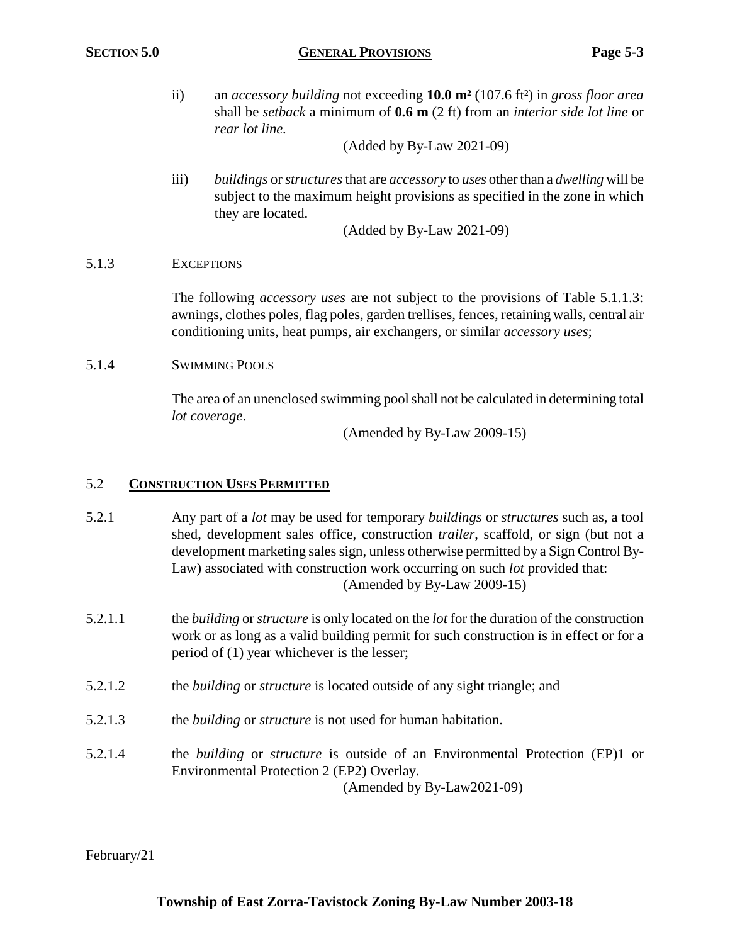ii) an *accessory building* not exceeding **10.0 m²** (107.6 ft²) in *gross floor area* shall be *setback* a minimum of **0.6 m** (2 ft) from an *interior side lot line* or *rear lot line.*

(Added by By-Law 2021-09)

iii) *buildings* or *structures*that are *accessory* to *uses* other than a *dwelling* will be subject to the maximum height provisions as specified in the zone in which they are located.

(Added by By-Law 2021-09)

# 5.1.3 EXCEPTIONS

The following *accessory uses* are not subject to the provisions of Table 5.1.1.3: awnings, clothes poles, flag poles, garden trellises, fences, retaining walls, central air conditioning units, heat pumps, air exchangers, or similar *accessory uses*;

# 5.1.4 SWIMMING POOLS

The area of an unenclosed swimming pool shall not be calculated in determining total *lot coverage*.

(Amended by By-Law 2009-15)

# 5.2 **CONSTRUCTION USES PERMITTED**

- 5.2.1 Any part of a *lot* may be used for temporary *buildings* or *structures* such as, a tool shed, development sales office, construction *trailer*, scaffold, or sign (but not a development marketing sales sign, unless otherwise permitted by a Sign Control By-Law) associated with construction work occurring on such *lot* provided that: (Amended by By-Law 2009-15)
- 5.2.1.1 the *building* or *structure* is only located on the *lot* for the duration of the construction work or as long as a valid building permit for such construction is in effect or for a period of (1) year whichever is the lesser;
- 5.2.1.2 the *building* or *structure* is located outside of any sight triangle; and
- 5.2.1.3 the *building* or *structure* is not used for human habitation.
- 5.2.1.4 the *building* or *structure* is outside of an Environmental Protection (EP)1 or Environmental Protection 2 (EP2) Overlay.

(Amended by By-Law2021-09)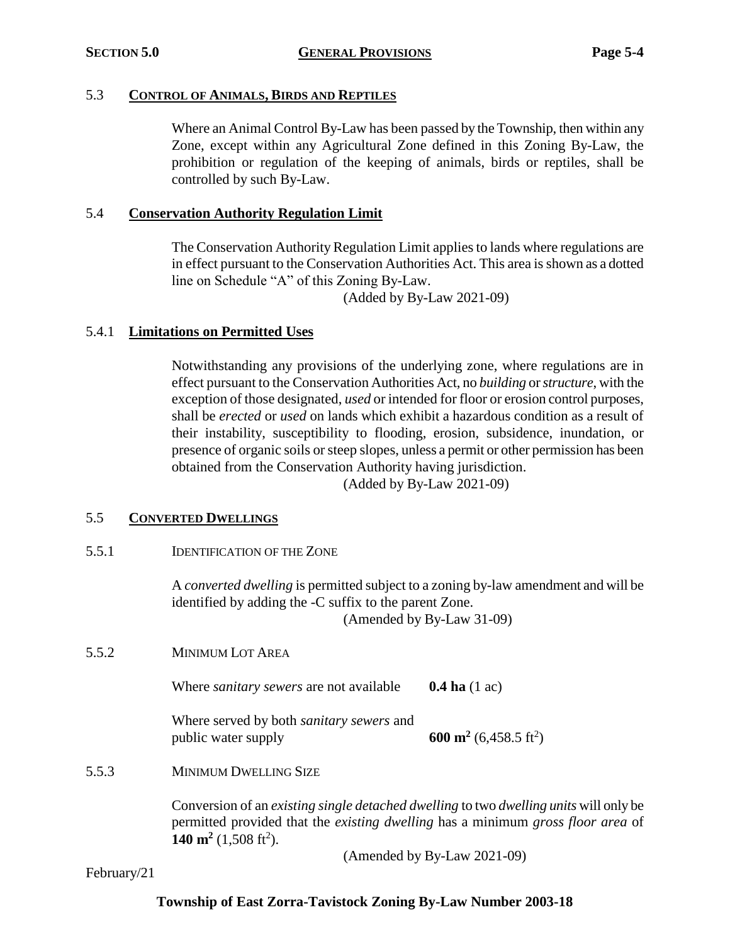## 5.3 **CONTROL OF ANIMALS, BIRDS AND REPTILES**

Where an Animal Control By-Law has been passed by the Township, then within any Zone, except within any Agricultural Zone defined in this Zoning By-Law, the prohibition or regulation of the keeping of animals, birds or reptiles, shall be controlled by such By-Law.

## 5.4 **Conservation Authority Regulation Limit**

The Conservation Authority Regulation Limit applies to lands where regulations are in effect pursuant to the Conservation Authorities Act. This area is shown as a dotted line on Schedule "A" of this Zoning By-Law.

(Added by By-Law 2021-09)

# 5.4.1 **Limitations on Permitted Uses**

Notwithstanding any provisions of the underlying zone, where regulations are in effect pursuant to the Conservation Authorities Act, no *building* or *structure*, with the exception of those designated, *used* or intended for floor or erosion control purposes, shall be *erected* or *used* on lands which exhibit a hazardous condition as a result of their instability, susceptibility to flooding, erosion, subsidence, inundation, or presence of organic soils or steep slopes, unless a permit or other permission has been obtained from the Conservation Authority having jurisdiction.

(Added by By-Law 2021-09)

## 5.5 **CONVERTED DWELLINGS**

5.5.1 IDENTIFICATION OF THE ZONE

A *converted dwelling* is permitted subject to a zoning by-law amendment and will be identified by adding the -C suffix to the parent Zone.

(Amended by By-Law 31-09)

5.5.2 MINIMUM LOT AREA

Where *sanitary sewers* are not available **0.4 ha** (1 ac)

Where served by both *sanitary sewers* and public water supply

 $(6,458.5 \text{ ft}^2)$ 

5.5.3 MINIMUM DWELLING SIZE

Conversion of an *existing single detached dwelling* to two *dwelling units* will only be permitted provided that the *existing dwelling* has a minimum *gross floor area* of **140 m<sup>2</sup>** (1,508 ft<sup>2</sup>).

(Amended by By-Law 2021-09)

February/21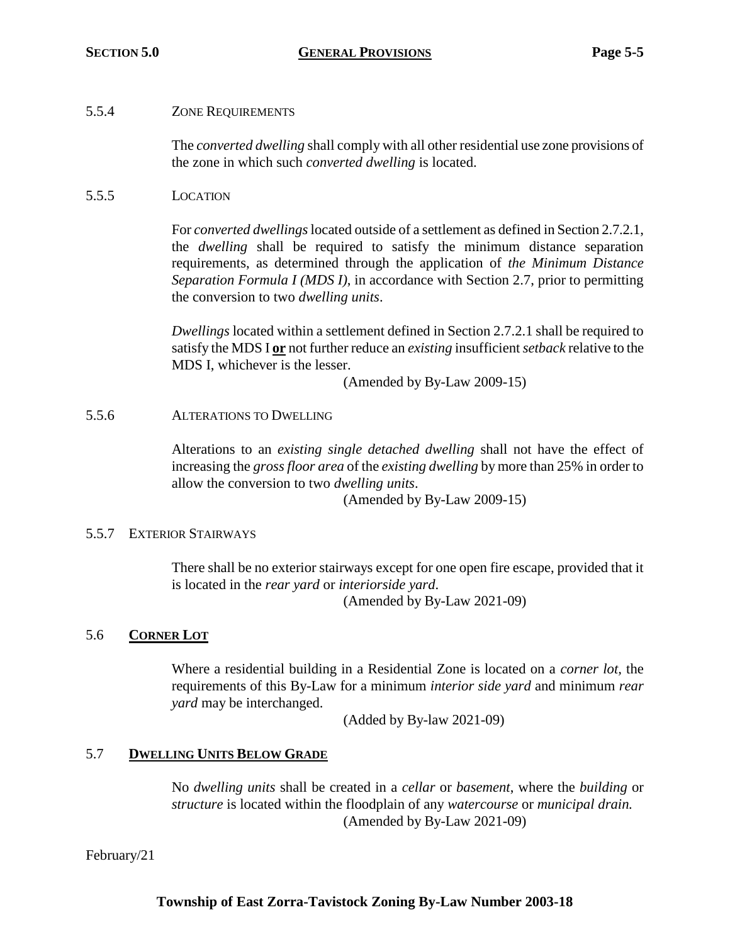## 5.5.4 ZONE REQUIREMENTS

The *converted dwelling* shall comply with all other residential use zone provisions of the zone in which such *converted dwelling* is located.

## 5.5.5 LOCATION

For *converted dwellings*located outside of a settlement as defined in Section 2.7.2.1, the *dwelling* shall be required to satisfy the minimum distance separation requirements, as determined through the application of *the Minimum Distance Separation Formula I (MDS I)*, in accordance with Section 2.7, prior to permitting the conversion to two *dwelling units*.

*Dwellings* located within a settlement defined in Section 2.7.2.1 shall be required to satisfy the MDS I **or** not further reduce an *existing* insufficient *setback* relative to the MDS I, whichever is the lesser.

(Amended by By-Law 2009-15)

## 5.5.6 ALTERATIONS TO DWELLING

Alterations to an *existing single detached dwelling* shall not have the effect of increasing the *gross floor area* of the *existing dwelling* by more than 25% in order to allow the conversion to two *dwelling units*.

(Amended by By-Law 2009-15)

### 5.5.7 EXTERIOR STAIRWAYS

There shall be no exterior stairways except for one open fire escape, provided that it is located in the *rear yard* or *interiorside yard*. (Amended by By-Law 2021-09)

## 5.6 **CORNER LOT**

Where a residential building in a Residential Zone is located on a *corner lot,* the requirements of this By-Law for a minimum *interior side yard* and minimum *rear yard* may be interchanged.

(Added by By-law 2021-09)

## 5.7 **DWELLING UNITS BELOW GRADE**

No *dwelling units* shall be created in a *cellar* or *basement*, where the *building* or *structure* is located within the floodplain of any *watercourse* or *municipal drain.* (Amended by By-Law 2021-09)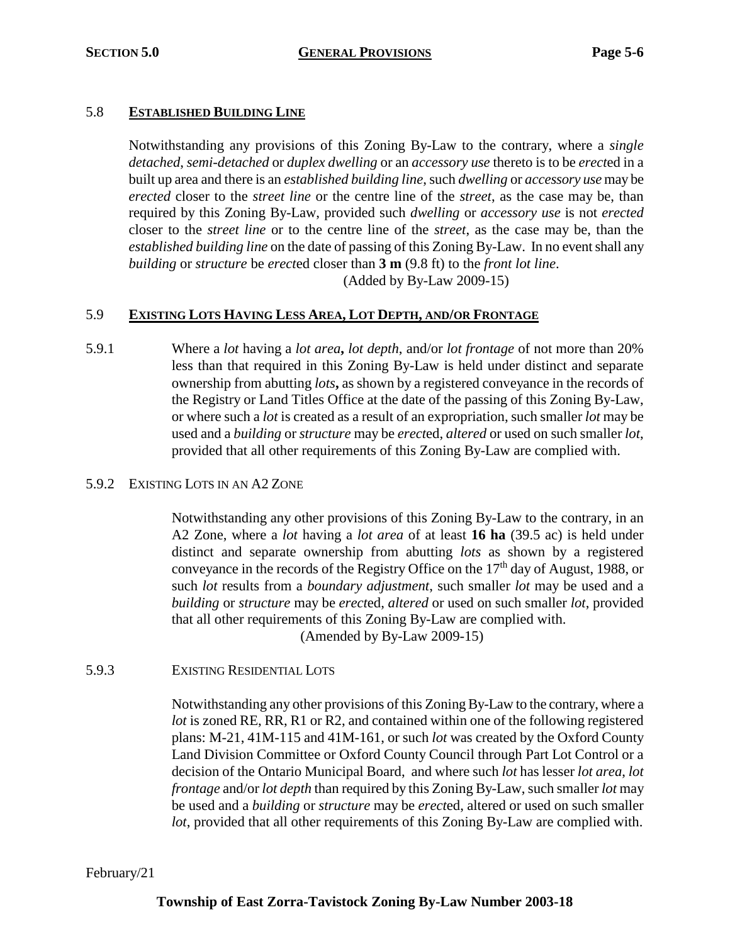## 5.8 **ESTABLISHED BUILDING LINE**

Notwithstanding any provisions of this Zoning By-Law to the contrary, where a *single detached*, *semi-detached* or *duplex dwelling* or an *accessory use* thereto is to be *erect*ed in a built up area and there is an *established building line*, such *dwelling* or *accessory use* may be *erected* closer to the *street line* or the centre line of the *street*, as the case may be, than required by this Zoning By-Law, provided such *dwelling* or *accessory use* is not *erected* closer to the *street line* or to the centre line of the *street*, as the case may be, than the *established building line* on the date of passing of this Zoning By-Law. In no event shall any *building* or *structure* be *erect*ed closer than **3 m** (9.8 ft) to the *front lot line*. (Added by By-Law 2009-15)

## 5.9 **EXISTING LOTS HAVING LESS AREA, LOT DEPTH, AND/OR FRONTAGE**

5.9.1 Where a *lot* having a *lot area***,** *lot depth*, and/or *lot frontage* of not more than 20% less than that required in this Zoning By-Law is held under distinct and separate ownership from abutting *lots***,** as shown by a registered conveyance in the records of the Registry or Land Titles Office at the date of the passing of this Zoning By-Law, or where such a *lot* is created as a result of an expropriation, such smaller *lot* may be used and a *building* or *structure* may be *erect*ed, *altered* or used on such smaller *lot*, provided that all other requirements of this Zoning By-Law are complied with.

## 5.9.2 EXISTING LOTS IN AN A2 ZONE

Notwithstanding any other provisions of this Zoning By-Law to the contrary, in an A2 Zone, where a *lot* having a *lot area* of at least **16 ha** (39.5 ac) is held under distinct and separate ownership from abutting *lots* as shown by a registered conveyance in the records of the Registry Office on the 17<sup>th</sup> day of August, 1988, or such *lot* results from a *boundary adjustment*, such smaller *lot* may be used and a *building* or *structure* may be *erect*ed, *altered* or used on such smaller *lot*, provided that all other requirements of this Zoning By-Law are complied with. (Amended by By-Law 2009-15)

5.9.3 EXISTING RESIDENTIAL LOTS

Notwithstanding any other provisions of this Zoning By-Law to the contrary, where a *lot* is zoned RE, RR, R1 or R2, and contained within one of the following registered plans: M-21, 41M-115 and 41M-161, or such *lot* was created by the Oxford County Land Division Committee or Oxford County Council through Part Lot Control or a decision of the Ontario Municipal Board, and where such *lot* has lesser *lot area*, *lot frontage* and/or *lot depth* than required by this Zoning By-Law, such smaller *lot* may be used and a *building* or *structure* may be *erect*ed, altered or used on such smaller *lot*, provided that all other requirements of this Zoning By-Law are complied with.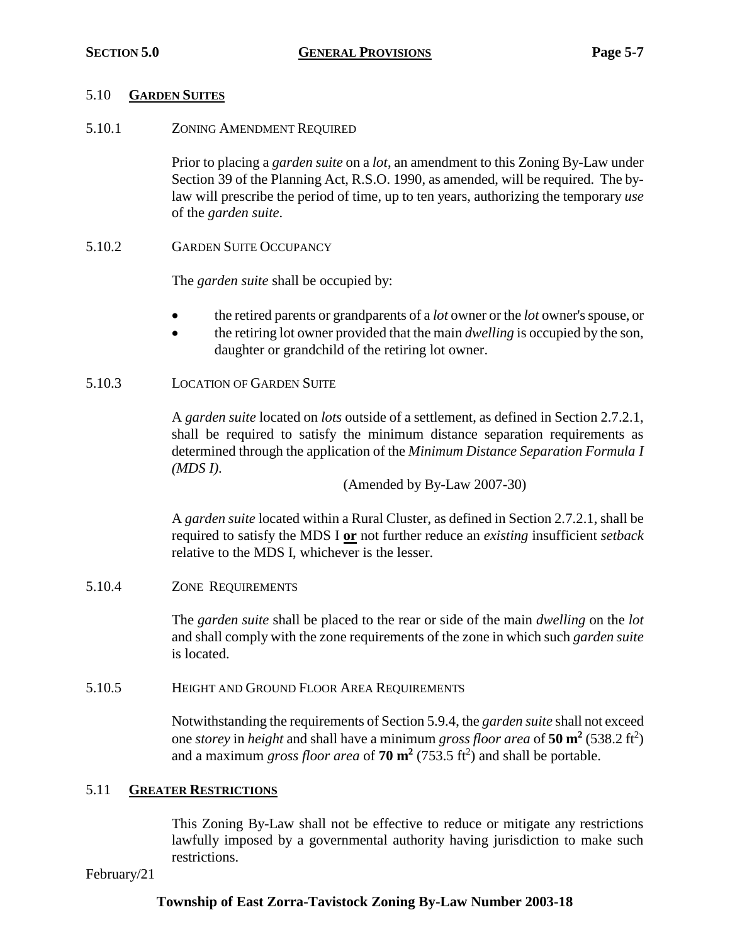## 5.10 **GARDEN SUITES**

5.10.1 ZONING AMENDMENT REQUIRED

Prior to placing a *garden suite* on a *lot*, an amendment to this Zoning By-Law under Section 39 of the Planning Act, R.S.O. 1990, as amended, will be required. The bylaw will prescribe the period of time, up to ten years, authorizing the temporary *use*  of the *garden suite*.

5.10.2 GARDEN SUITE OCCUPANCY

The *garden suite* shall be occupied by:

- the retired parents or grandparents of a *lot* owner or the *lot* owner's spouse, or
- the retiring lot owner provided that the main *dwelling* is occupied by the son, daughter or grandchild of the retiring lot owner.

## 5.10.3 LOCATION OF GARDEN SUITE

A *garden suite* located on *lots* outside of a settlement, as defined in Section 2.7.2.1, shall be required to satisfy the minimum distance separation requirements as determined through the application of the *Minimum Distance Separation Formula I (MDS I)*.

(Amended by By-Law 2007-30)

A *garden suite* located within a Rural Cluster, as defined in Section 2.7.2.1, shall be required to satisfy the MDS I **or** not further reduce an *existing* insufficient *setback* relative to the MDS I, whichever is the lesser.

5.10.4 ZONE REQUIREMENTS

The *garden suite* shall be placed to the rear or side of the main *dwelling* on the *lot* and shall comply with the zone requirements of the zone in which such *garden suite*  is located.

5.10.5 HEIGHT AND GROUND FLOOR AREA REQUIREMENTS

Notwithstanding the requirements of Section 5.9.4, the *garden suite* shall not exceed one *storey* in *height* and shall have a minimum *gross floor area* of **50 m<sup>2</sup>** (538.2 ft<sup>2</sup> ) and a maximum *gross floor area* of **70 m<sup>2</sup>** (753.5 ft<sup>2</sup> ) and shall be portable.

# 5.11 **GREATER RESTRICTIONS**

This Zoning By-Law shall not be effective to reduce or mitigate any restrictions lawfully imposed by a governmental authority having jurisdiction to make such restrictions.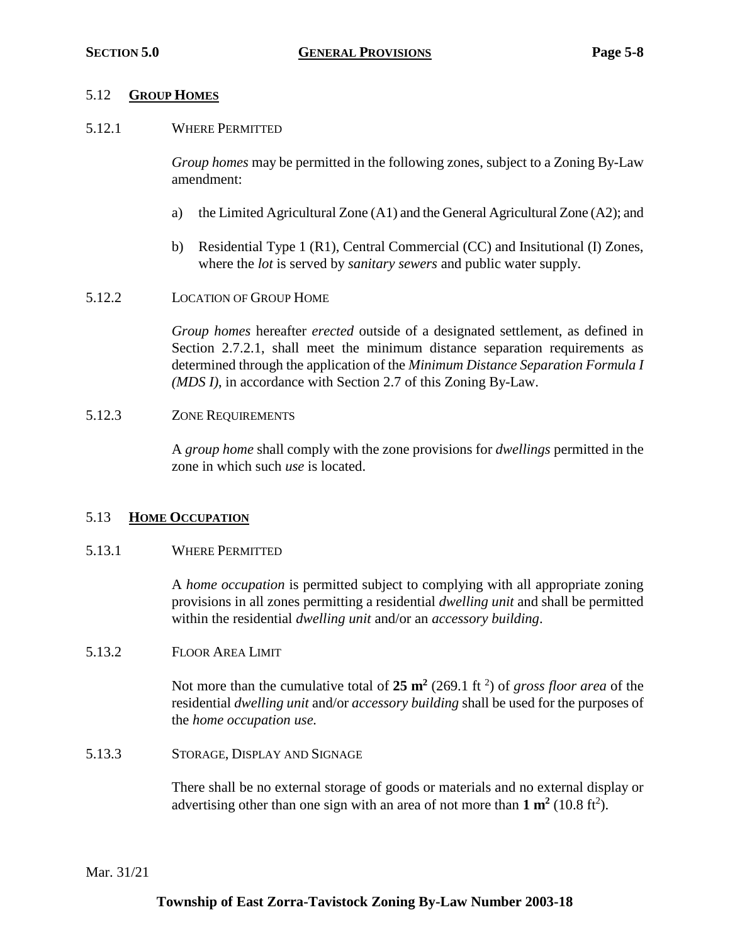## 5.12 **GROUP HOMES**

5.12.1 WHERE PERMITTED

*Group homes* may be permitted in the following zones, subject to a Zoning By-Law amendment:

- a) the Limited Agricultural Zone (A1) and the General Agricultural Zone (A2); and
- b) Residential Type 1 (R1), Central Commercial (CC) and Insitutional (I) Zones, where the *lot* is served by *sanitary sewers* and public water supply.
- 5.12.2 LOCATION OF GROUP HOME

*Group homes* hereafter *erected* outside of a designated settlement, as defined in Section 2.7.2.1, shall meet the minimum distance separation requirements as determined through the application of the *Minimum Distance Separation Formula I (MDS I)*, in accordance with Section 2.7 of this Zoning By-Law.

## 5.12.3 ZONE REQUIREMENTS

A *group home* shall comply with the zone provisions for *dwellings* permitted in the zone in which such *use* is located.

## 5.13 **HOME OCCUPATION**

## 5.13.1 WHERE PERMITTED

A *home occupation* is permitted subject to complying with all appropriate zoning provisions in all zones permitting a residential *dwelling unit* and shall be permitted within the residential *dwelling unit* and/or an *accessory building*.

5.13.2 FLOOR AREA LIMIT

Not more than the cumulative total of 25 m<sup>2</sup> (269.1 ft<sup>2</sup>) of *gross floor area* of the residential *dwelling unit* and/or *accessory building* shall be used for the purposes of the *home occupation use.*

5.13.3 STORAGE, DISPLAY AND SIGNAGE

There shall be no external storage of goods or materials and no external display or advertising other than one sign with an area of not more than  $1 \text{ m}^2$  (10.8 ft<sup>2</sup>).

Mar. 31/21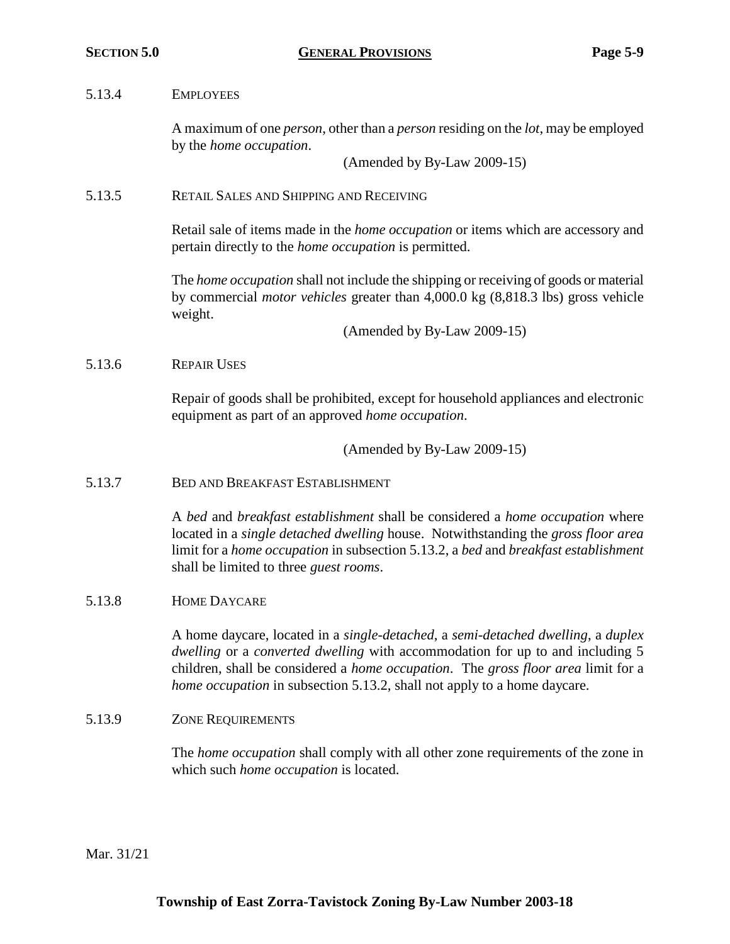## 5.13.4 EMPLOYEES

A maximum of one *person*, other than a *person* residing on the *lot*, may be employed by the *home occupation*.

(Amended by By-Law 2009-15)

## 5.13.5 RETAIL SALES AND SHIPPING AND RECEIVING

Retail sale of items made in the *home occupation* or items which are accessory and pertain directly to the *home occupation* is permitted.

The *home occupation* shall not include the shipping or receiving of goods or material by commercial *motor vehicles* greater than 4,000.0 kg (8,818.3 lbs) gross vehicle weight.

(Amended by By-Law 2009-15)

## 5.13.6 REPAIR USES

Repair of goods shall be prohibited, except for household appliances and electronic equipment as part of an approved *home occupation*.

(Amended by By-Law 2009-15)

5.13.7 BED AND BREAKFAST ESTABLISHMENT

A *bed* and *breakfast establishment* shall be considered a *home occupation* where located in a *single detached dwelling* house. Notwithstanding the *gross floor area*  limit for a *home occupation* in subsection 5.13.2, a *bed* and *breakfast establishment* shall be limited to three *guest rooms*.

## 5.13.8 HOME DAYCARE

A home daycare, located in a *single-detached*, a *semi-detached dwelling*, a *duplex dwelling* or a *converted dwelling* with accommodation for up to and including 5 children, shall be considered a *home occupation*. The *gross floor area* limit for a *home occupation* in subsection 5.13.2, shall not apply to a home daycare.

## 5.13.9 ZONE REQUIREMENTS

The *home occupation* shall comply with all other zone requirements of the zone in which such *home occupation* is located.

Mar. 31/21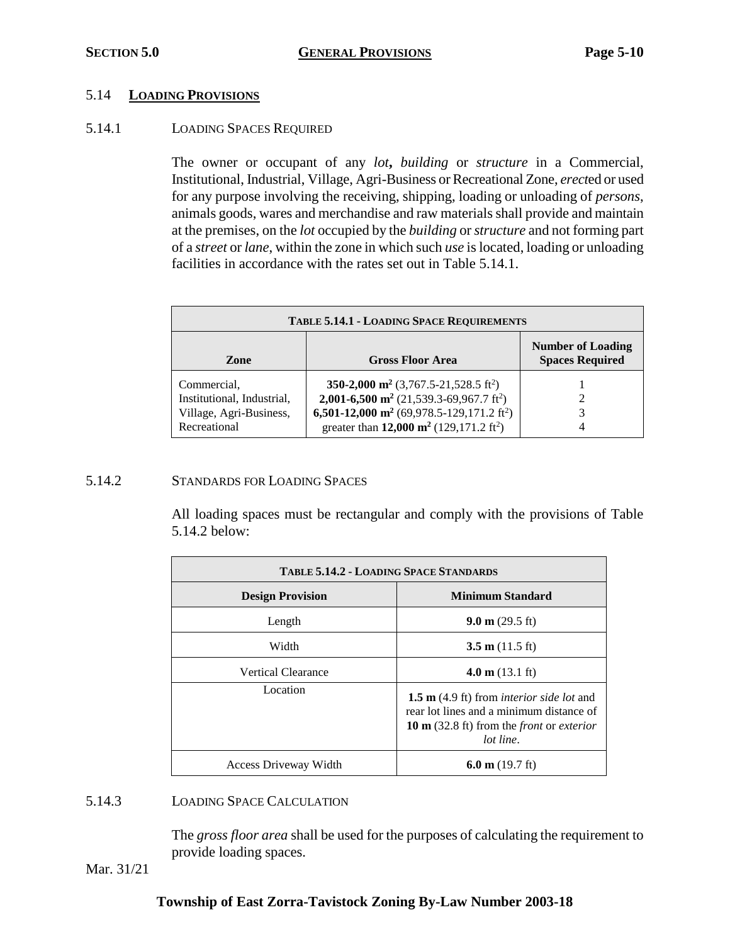## 5.14 **LOADING PROVISIONS**

## 5.14.1 LOADING SPACES REQUIRED

The owner or occupant of any *lot***,** *building* or *structure* in a Commercial, Institutional, Industrial, Village, Agri-Business or Recreational Zone, *erect*ed or used for any purpose involving the receiving, shipping, loading or unloading of *persons*, animals goods, wares and merchandise and raw materials shall provide and maintain at the premises, on the *lot* occupied by the *building* or *structure* and not forming part of a *street* or *lane*, within the zone in which such *use* is located, loading or unloading facilities in accordance with the rates set out in Table 5.14.1.

| <b>TABLE 5.14.1 - LOADING SPACE REQUIREMENTS</b>                                     |                                                                                                                                                                                                                                                                         |   |  |
|--------------------------------------------------------------------------------------|-------------------------------------------------------------------------------------------------------------------------------------------------------------------------------------------------------------------------------------------------------------------------|---|--|
| Zone                                                                                 | <b>Number of Loading</b><br><b>Spaces Required</b><br><b>Gross Floor Area</b>                                                                                                                                                                                           |   |  |
| Commercial.<br>Institutional, Industrial,<br>Village, Agri-Business,<br>Recreational | 350-2,000 m <sup>2</sup> (3,767.5-21,528.5 ft <sup>2</sup> )<br>2,001-6,500 m <sup>2</sup> (21,539.3-69,967.7 ft <sup>2</sup> )<br>6,501-12,000 m <sup>2</sup> (69,978.5-129,171.2 ft <sup>2</sup> )<br>greater than 12,000 m <sup>2</sup> (129,171.2 ft <sup>2</sup> ) | 4 |  |

## 5.14.2 STANDARDS FOR LOADING SPACES

All loading spaces must be rectangular and comply with the provisions of Table 5.14.2 below:

| <b>TABLE 5.14.2 - LOADING SPACE STANDARDS</b> |                                                                                                                                                                                       |  |  |
|-----------------------------------------------|---------------------------------------------------------------------------------------------------------------------------------------------------------------------------------------|--|--|
| <b>Design Provision</b>                       | Minimum Standard                                                                                                                                                                      |  |  |
| Length                                        | $9.0 \text{ m}$ (29.5 ft)                                                                                                                                                             |  |  |
| Width                                         | $3.5 \text{ m}$ (11.5 ft)                                                                                                                                                             |  |  |
| <b>Vertical Clearance</b>                     | $4.0 \text{ m}$ (13.1 ft)                                                                                                                                                             |  |  |
| Location                                      | <b>1.5 m</b> (4.9 ft) from <i>interior side lot</i> and<br>rear lot lines and a minimum distance of<br>10 m $(32.8 \text{ ft})$ from the <i>front</i> or <i>exterior</i><br>lot line. |  |  |
| Access Driveway Width                         | 6.0 m $(19.7 \text{ ft})$                                                                                                                                                             |  |  |

## 5.14.3 LOADING SPACE CALCULATION

The *gross floor area* shall be used for the purposes of calculating the requirement to provide loading spaces.

Mar. 31/21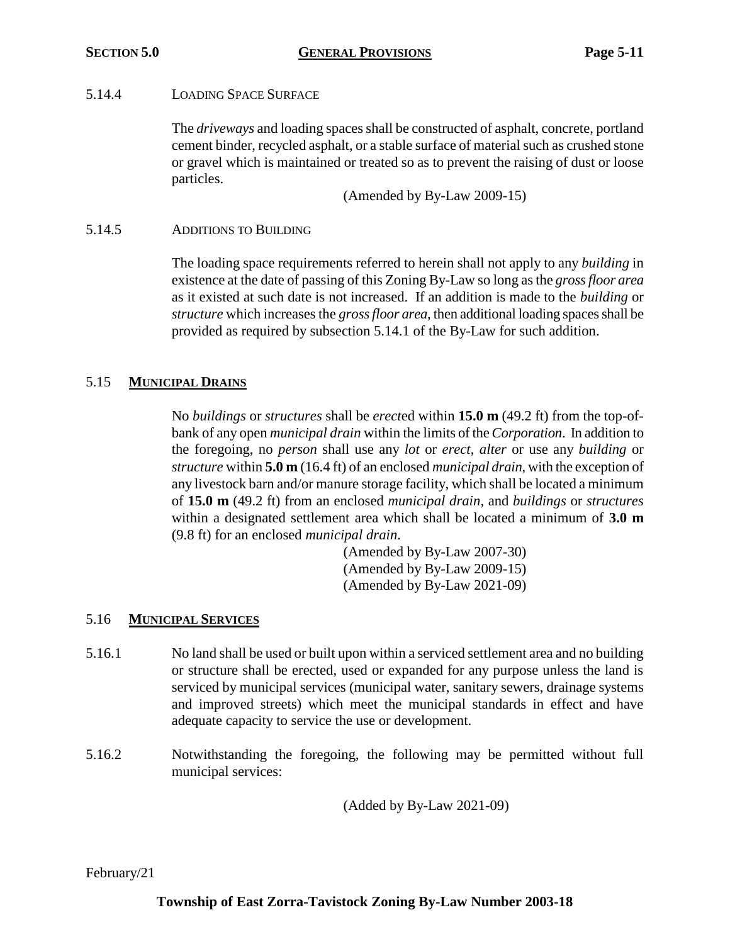## 5.14.4 LOADING SPACE SURFACE

The *driveways* and loading spaces shall be constructed of asphalt, concrete, portland cement binder, recycled asphalt, or a stable surface of material such as crushed stone or gravel which is maintained or treated so as to prevent the raising of dust or loose particles.

(Amended by By-Law 2009-15)

## 5.14.5 ADDITIONS TO BUILDING

The loading space requirements referred to herein shall not apply to any *building* in existence at the date of passing of this Zoning By-Law so long as the *gross floor area* as it existed at such date is not increased. If an addition is made to the *building* or *structure* which increases the *gross floor area*, then additional loading spaces shall be provided as required by subsection 5.14.1 of the By-Law for such addition.

## 5.15 **MUNICIPAL DRAINS**

No *buildings* or *structures* shall be *erect*ed within **15.0 m** (49.2 ft) from the top-ofbank of any open *municipal drain* within the limits of the *Corporation*. In addition to the foregoing, no *person* shall use any *lot* or *erect*, *alter* or use any *building* or *structure* within **5.0 m** (16.4 ft) of an enclosed *municipal drain*, with the exception of any livestock barn and/or manure storage facility, which shall be located a minimum of **15.0 m** (49.2 ft) from an enclosed *municipal drain*, and *buildings* or *structures* within a designated settlement area which shall be located a minimum of **3.0 m** (9.8 ft) for an enclosed *municipal drain*.

> (Amended by By-Law 2007-30) (Amended by By-Law 2009-15) (Amended by By-Law 2021-09)

## 5.16 **MUNICIPAL SERVICES**

- 5.16.1 No land shall be used or built upon within a serviced settlement area and no building or structure shall be erected, used or expanded for any purpose unless the land is serviced by municipal services (municipal water, sanitary sewers, drainage systems and improved streets) which meet the municipal standards in effect and have adequate capacity to service the use or development.
- 5.16.2 Notwithstanding the foregoing, the following may be permitted without full municipal services:

(Added by By-Law 2021-09)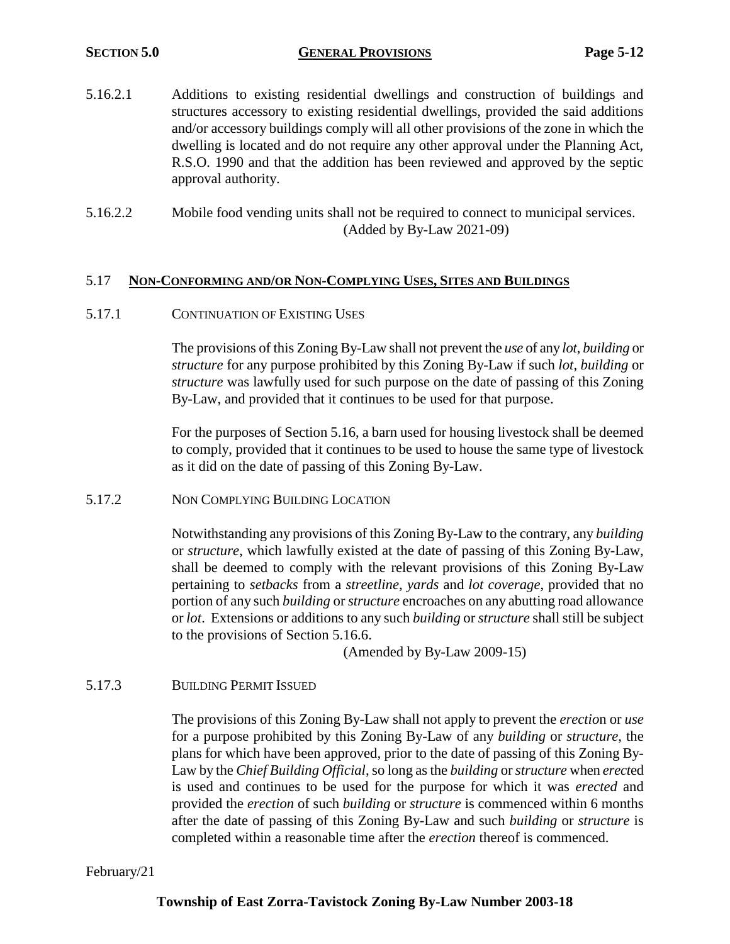- 5.16.2.1 Additions to existing residential dwellings and construction of buildings and structures accessory to existing residential dwellings, provided the said additions and/or accessory buildings comply will all other provisions of the zone in which the dwelling is located and do not require any other approval under the Planning Act, R.S.O. 1990 and that the addition has been reviewed and approved by the septic approval authority.
- 5.16.2.2 Mobile food vending units shall not be required to connect to municipal services. (Added by By-Law 2021-09)

## 5.17 **NON-CONFORMING AND/OR NON-COMPLYING USES, SITES AND BUILDINGS**

5.17.1 CONTINUATION OF EXISTING USES

The provisions of this Zoning By-Law shall not prevent the *use* of any *lot*, *building* or *structure* for any purpose prohibited by this Zoning By-Law if such *lot*, *building* or *structure* was lawfully used for such purpose on the date of passing of this Zoning By-Law, and provided that it continues to be used for that purpose.

For the purposes of Section 5.16, a barn used for housing livestock shall be deemed to comply, provided that it continues to be used to house the same type of livestock as it did on the date of passing of this Zoning By-Law.

5.17.2 NON COMPLYING BUILDING LOCATION

Notwithstanding any provisions of this Zoning By-Law to the contrary, any *building* or *structure*, which lawfully existed at the date of passing of this Zoning By-Law, shall be deemed to comply with the relevant provisions of this Zoning By-Law pertaining to *setbacks* from a *streetline*, *yards* and *lot coverage*, provided that no portion of any such *building* or *structure* encroaches on any abutting road allowance or *lot*. Extensions or additions to any such *building* or *structure* shall still be subject to the provisions of Section 5.16.6.

(Amended by By-Law 2009-15)

5.17.3 BUILDING PERMIT ISSUED

The provisions of this Zoning By-Law shall not apply to prevent the *erectio*n or *use*  for a purpose prohibited by this Zoning By-Law of any *building* or *structure*, the plans for which have been approved, prior to the date of passing of this Zoning By-Law by the *Chief Building Official*, so long as the *building* or *structure* when *erect*ed is used and continues to be used for the purpose for which it was *erected* and provided the *erection* of such *building* or *structure* is commenced within 6 months after the date of passing of this Zoning By-Law and such *building* or *structure* is completed within a reasonable time after the *erection* thereof is commenced.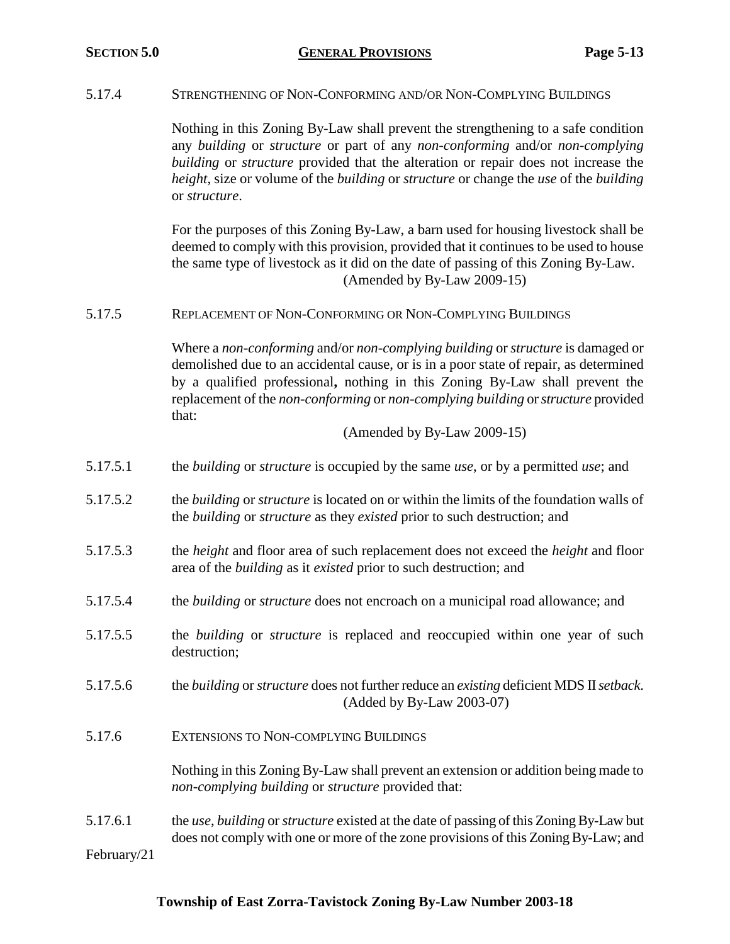5.17.4 STRENGTHENING OF NON-CONFORMING AND/OR NON-COMPLYING BUILDINGS

|                         | Nothing in this Zoning By-Law shall prevent the strengthening to a safe condition<br>any building or structure or part of any non-conforming and/or non-complying<br>building or structure provided that the alteration or repair does not increase the<br>height, size or volume of the building or structure or change the use of the building<br>or structure. |
|-------------------------|-------------------------------------------------------------------------------------------------------------------------------------------------------------------------------------------------------------------------------------------------------------------------------------------------------------------------------------------------------------------|
|                         | For the purposes of this Zoning By-Law, a barn used for housing livestock shall be<br>deemed to comply with this provision, provided that it continues to be used to house<br>the same type of livestock as it did on the date of passing of this Zoning By-Law.<br>(Amended by By-Law 2009-15)                                                                   |
| 5.17.5                  | REPLACEMENT OF NON-CONFORMING OR NON-COMPLYING BUILDINGS                                                                                                                                                                                                                                                                                                          |
|                         | Where a non-conforming and/or non-complying building or structure is damaged or<br>demolished due to an accidental cause, or is in a poor state of repair, as determined<br>by a qualified professional, nothing in this Zoning By-Law shall prevent the<br>replacement of the non-conforming or non-complying building or structure provided<br>that:            |
|                         | (Amended by By-Law 2009-15)                                                                                                                                                                                                                                                                                                                                       |
| 5.17.5.1                | the <i>building</i> or <i>structure</i> is occupied by the same <i>use</i> , or by a permitted <i>use</i> ; and                                                                                                                                                                                                                                                   |
| 5.17.5.2                | the <i>building</i> or <i>structure</i> is located on or within the limits of the foundation walls of<br>the <i>building</i> or <i>structure</i> as they <i>existed</i> prior to such destruction; and                                                                                                                                                            |
| 5.17.5.3                | the <i>height</i> and floor area of such replacement does not exceed the <i>height</i> and floor<br>area of the <i>building</i> as it <i>existed</i> prior to such destruction; and                                                                                                                                                                               |
| 5.17.5.4                | the <i>building</i> or <i>structure</i> does not encroach on a municipal road allowance; and                                                                                                                                                                                                                                                                      |
| 5.17.5.5                | the <i>building</i> or <i>structure</i> is replaced and reoccupied within one year of such<br>destruction;                                                                                                                                                                                                                                                        |
| 5.17.5.6                | the building or structure does not further reduce an existing deficient MDS II setback.<br>(Added by By-Law 2003-07)                                                                                                                                                                                                                                              |
| 5.17.6                  | EXTENSIONS TO NON-COMPLYING BUILDINGS                                                                                                                                                                                                                                                                                                                             |
|                         | Nothing in this Zoning By-Law shall prevent an extension or addition being made to<br>non-complying building or structure provided that:                                                                                                                                                                                                                          |
| 5.17.6.1<br>February/21 | the use, building or structure existed at the date of passing of this Zoning By-Law but<br>does not comply with one or more of the zone provisions of this Zoning By-Law; and                                                                                                                                                                                     |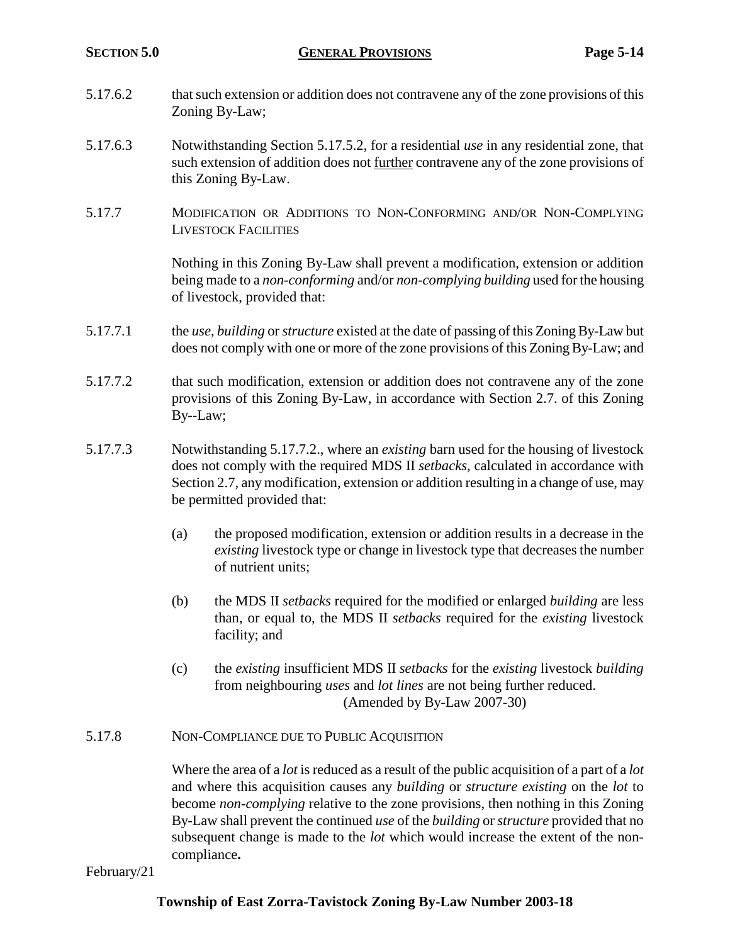- 5.17.6.2 that such extension or addition does not contravene any of the zone provisions of this Zoning By-Law;
- 5.17.6.3 Notwithstanding Section 5.17.5.2, for a residential *use* in any residential zone, that such extension of addition does not further contravene any of the zone provisions of this Zoning By-Law.
- 5.17.7 MODIFICATION OR ADDITIONS TO NON-CONFORMING AND/OR NON-COMPLYING LIVESTOCK FACILITIES

Nothing in this Zoning By-Law shall prevent a modification, extension or addition being made to a *non-conforming* and/or *non-complying building* used for the housing of livestock, provided that:

- 5.17.7.1 the *use*, *building* or *structure* existed at the date of passing of this Zoning By-Law but does not comply with one or more of the zone provisions of this Zoning By-Law; and
- 5.17.7.2 that such modification, extension or addition does not contravene any of the zone provisions of this Zoning By-Law, in accordance with Section 2.7. of this Zoning By--Law;
- 5.17.7.3 Notwithstanding 5.17.7.2., where an *existing* barn used for the housing of livestock does not comply with the required MDS II *setbacks*, calculated in accordance with Section 2.7, any modification, extension or addition resulting in a change of use, may be permitted provided that:
	- (a) the proposed modification, extension or addition results in a decrease in the *existing* livestock type or change in livestock type that decreases the number of nutrient units;
	- (b) the MDS II *setbacks* required for the modified or enlarged *building* are less than, or equal to, the MDS II *setbacks* required for the *existing* livestock facility; and
	- (c) the *existing* insufficient MDS II *setbacks* for the *existing* livestock *building* from neighbouring *uses* and *lot lines* are not being further reduced. (Amended by By-Law 2007-30)
- 5.17.8 NON-COMPLIANCE DUE TO PUBLIC ACQUISITION

Where the area of a *lot* is reduced as a result of the public acquisition of a part of a *lot* and where this acquisition causes any *building* or *structure existing* on the *lot* to become *non-complying* relative to the zone provisions, then nothing in this Zoning By-Law shall prevent the continued *use* of the *building* or *structure* provided that no subsequent change is made to the *lot* which would increase the extent of the noncompliance**.**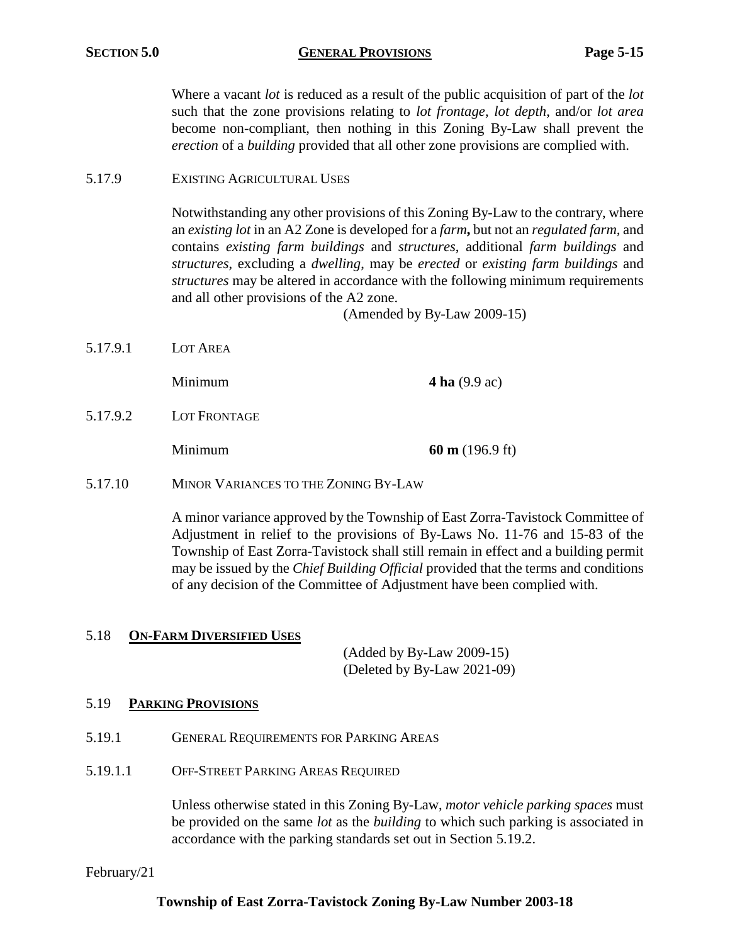## **SECTION 5.0 GENERAL PROVISIONS Page 5-15**

Where a vacant *lot* is reduced as a result of the public acquisition of part of the *lot* such that the zone provisions relating to *lot frontage*, *lot depth*, and/or *lot area* become non-compliant, then nothing in this Zoning By-Law shall prevent the *erection* of a *building* provided that all other zone provisions are complied with.

5.17.9 EXISTING AGRICULTURAL USES

Notwithstanding any other provisions of this Zoning By-Law to the contrary, where an *existing lot* in an A2 Zone is developed for a *farm***,** but not an *regulated farm,* and contains *existing farm buildings* and *structures*, additional *farm buildings* and *structures*, excluding a *dwelling*, may be *erected* or *existing farm buildings* and *structures* may be altered in accordance with the following minimum requirements and all other provisions of the A2 zone.

(Amended by By-Law 2009-15)

5.17.9.1 LOT AREA

**Minimum 4 ha** (9.9 ac)

5.17.9.2 LOT FRONTAGE

Minimum **60 m** (196.9 ft)

5.17.10 MINOR VARIANCES TO THE ZONING BY-LAW

A minor variance approved by the Township of East Zorra-Tavistock Committee of Adjustment in relief to the provisions of By-Laws No. 11-76 and 15-83 of the Township of East Zorra-Tavistock shall still remain in effect and a building permit may be issued by the *Chief Building Official* provided that the terms and conditions of any decision of the Committee of Adjustment have been complied with.

## 5.18 **ON-FARM DIVERSIFIED USES**

(Added by By-Law 2009-15) (Deleted by By-Law 2021-09)

## 5.19 **PARKING PROVISIONS**

- 5.19.1 GENERAL REQUIREMENTS FOR PARKING AREAS
- 5.19.1.1 OFF-STREET PARKING AREAS REQUIRED

Unless otherwise stated in this Zoning By-Law, *motor vehicle parking spaces* must be provided on the same *lot* as the *building* to which such parking is associated in accordance with the parking standards set out in Section 5.19.2.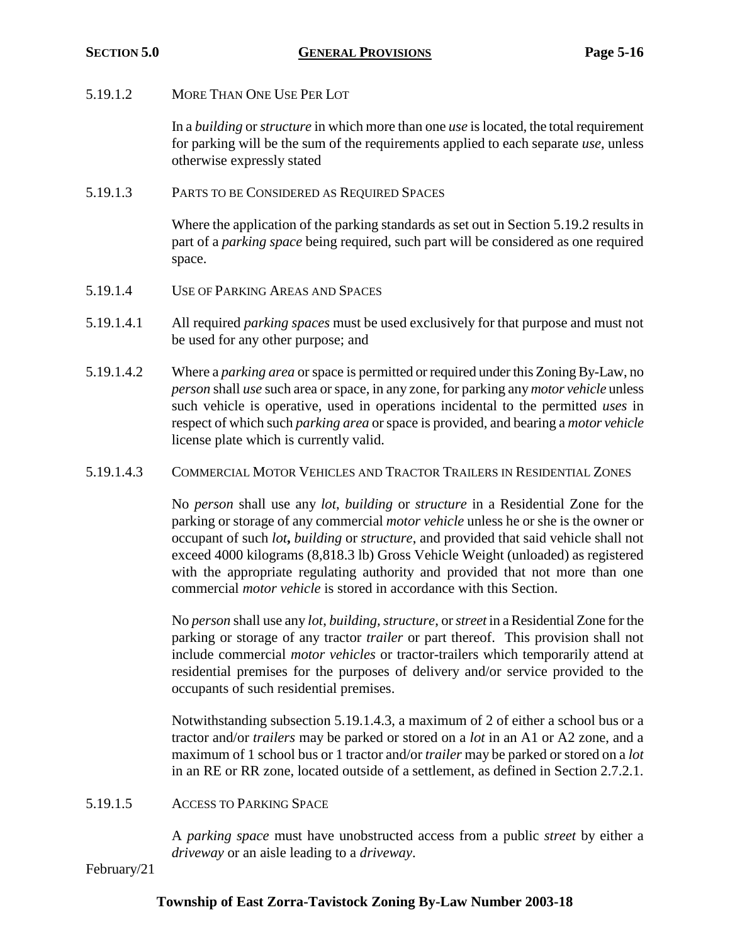5.19.1.2 MORE THAN ONE USE PER LOT

In a *building* or *structure* in which more than one *use* is located, the total requirement for parking will be the sum of the requirements applied to each separate *use*, unless otherwise expressly stated

5.19.1.3 PARTS TO BE CONSIDERED AS REQUIRED SPACES

Where the application of the parking standards as set out in Section 5.19.2 results in part of a *parking space* being required, such part will be considered as one required space.

- 5.19.1.4 USE OF PARKING AREAS AND SPACES
- 5.19.1.4.1 All required *parking spaces* must be used exclusively for that purpose and must not be used for any other purpose; and
- 5.19.1.4.2 Where a *parking area* or space is permitted or required under this Zoning By-Law, no *person* shall *use* such area or space, in any zone, for parking any *motor vehicle* unless such vehicle is operative, used in operations incidental to the permitted *uses* in respect of which such *parking area* orspace is provided, and bearing a *motor vehicle* license plate which is currently valid.
- 5.19.1.4.3 COMMERCIAL MOTOR VEHICLES AND TRACTOR TRAILERS IN RESIDENTIAL ZONES

No *person* shall use any *lot*, *building* or *structure* in a Residential Zone for the parking or storage of any commercial *motor vehicle* unless he or she is the owner or occupant of such *lot***,** *building* or *structure*, and provided that said vehicle shall not exceed 4000 kilograms (8,818.3 lb) Gross Vehicle Weight (unloaded) as registered with the appropriate regulating authority and provided that not more than one commercial *motor vehicle* is stored in accordance with this Section.

No *person* shall use any *lot*, *building, structure*, or *street* in a Residential Zone for the parking or storage of any tractor *trailer* or part thereof. This provision shall not include commercial *motor vehicles* or tractor-trailers which temporarily attend at residential premises for the purposes of delivery and/or service provided to the occupants of such residential premises.

Notwithstanding subsection 5.19.1.4.3, a maximum of 2 of either a school bus or a tractor and/or *trailers* may be parked or stored on a *lot* in an A1 or A2 zone, and a maximum of 1 school bus or 1 tractor and/or *trailer* may be parked or stored on a *lot* in an RE or RR zone, located outside of a settlement, as defined in Section 2.7.2.1.

5.19.1.5 ACCESS TO PARKING SPACE

A *parking space* must have unobstructed access from a public *street* by either a *driveway* or an aisle leading to a *driveway*.

February/21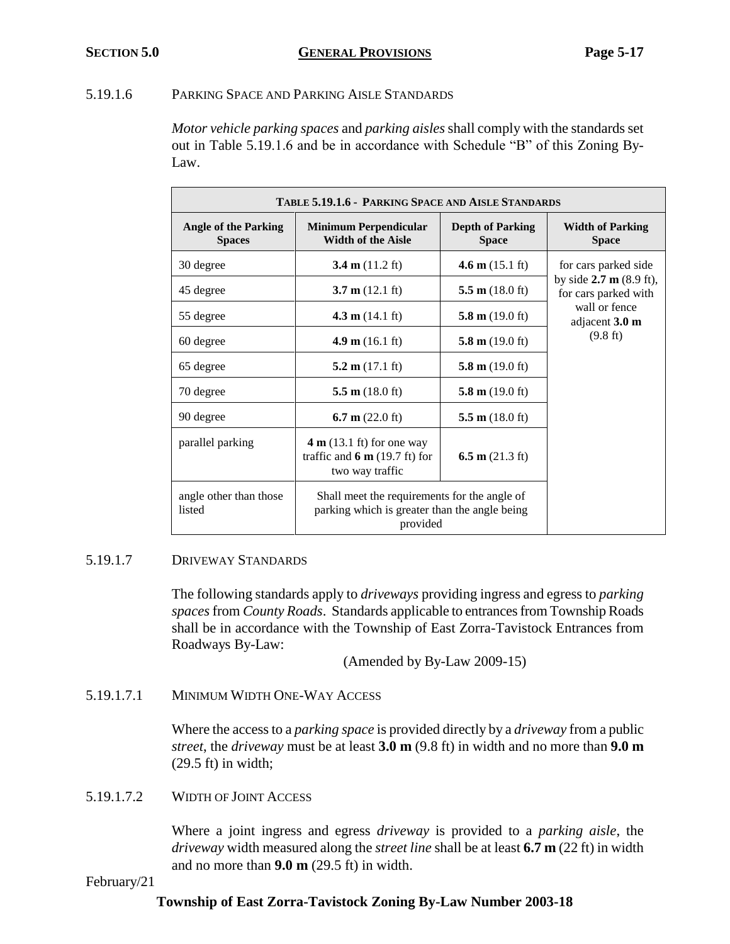## 5.19.1.6 PARKING SPACE AND PARKING AISLE STANDARDS

*Motor vehicle parking spaces* and *parking aisles*shall comply with the standards set out in Table 5.19.1.6 and be in accordance with Schedule "B" of this Zoning By-Law.

| TABLE 5.19.1.6 - PARKING SPACE AND AISLE STANDARDS |                                                                                                           |                                         |                                                           |
|----------------------------------------------------|-----------------------------------------------------------------------------------------------------------|-----------------------------------------|-----------------------------------------------------------|
| <b>Angle of the Parking</b><br><b>Spaces</b>       | <b>Minimum Perpendicular</b><br><b>Width of the Aisle</b>                                                 | <b>Depth of Parking</b><br><b>Space</b> | <b>Width of Parking</b><br><b>Space</b>                   |
| 30 degree                                          | 3.4 m $(11.2 \text{ ft})$                                                                                 | 4.6 m $(15.1 \text{ ft})$               | for cars parked side                                      |
| 45 degree                                          | $3.7 \text{ m} (12.1 \text{ ft})$                                                                         | 5.5 $m(18.0 \text{ ft})$                | by side $2.7 \text{ m}$ (8.9 ft),<br>for cars parked with |
| 55 degree                                          | 4.3 $m(14.1 \text{ ft})$                                                                                  | 5.8 m $(19.0 \text{ ft})$               | wall or fence<br>adjacent $3.0 \text{ m}$                 |
| 60 degree                                          | 4.9 m $(16.1 \text{ ft})$                                                                                 | 5.8 m $(19.0 \text{ ft})$               | $(9.8 \text{ ft})$                                        |
| 65 degree                                          | 5.2 m $(17.1 \text{ ft})$                                                                                 | 5.8 m $(19.0 \text{ ft})$               |                                                           |
| 70 degree                                          | 5.5 m $(18.0 \text{ ft})$                                                                                 | 5.8 m $(19.0 \text{ ft})$               |                                                           |
| 90 degree                                          | 6.7 m $(22.0 \text{ ft})$                                                                                 | 5.5 m $(18.0 \text{ ft})$               |                                                           |
| parallel parking                                   | $4 \text{ m}$ (13.1 ft) for one way<br>traffic and $6 \text{ m}$ (19.7 ft) for<br>two way traffic         | 6.5 m $(21.3 \text{ ft})$               |                                                           |
| angle other than those<br>listed                   | Shall meet the requirements for the angle of<br>parking which is greater than the angle being<br>provided |                                         |                                                           |

# 5.19.1.7 DRIVEWAY STANDARDS

The following standards apply to *driveways* providing ingress and egress to *parking spaces*from *County Roads*. Standards applicable to entrances from Township Roads shall be in accordance with the Township of East Zorra-Tavistock Entrances from Roadways By-Law:

(Amended by By-Law 2009-15)

5.19.1.7.1 MINIMUM WIDTH ONE-WAY ACCESS

Where the access to a *parking space* is provided directly by a *driveway* from a public *street*, the *driveway* must be at least **3.0 m** (9.8 ft) in width and no more than **9.0 m** (29.5 ft) in width;

# 5.19.1.7.2 WIDTH OF JOINT ACCESS

Where a joint ingress and egress *driveway* is provided to a *parking aisle*, the *driveway* width measured along the *street line* shall be at least **6.7 m** (22 ft) in width and no more than **9.0 m** (29.5 ft) in width.

## February/21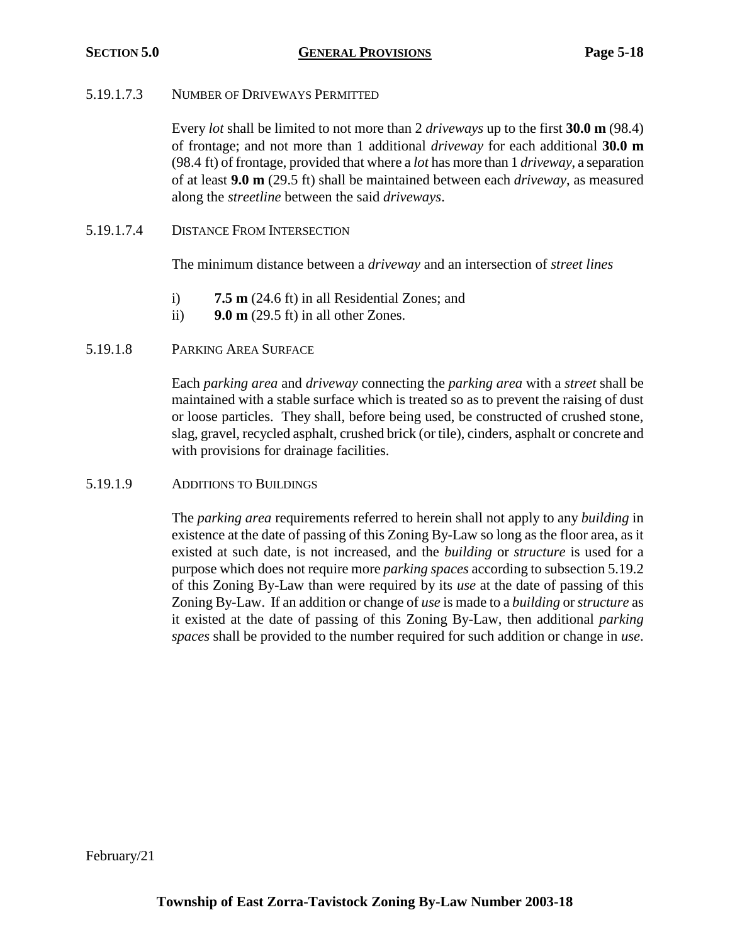## 5.19.1.7.3 NUMBER OF DRIVEWAYS PERMITTED

Every *lot* shall be limited to not more than 2 *driveways* up to the first **30.0 m** (98.4) of frontage; and not more than 1 additional *driveway* for each additional **30.0 m** (98.4 ft) of frontage, provided that where a *lot* has more than 1 *driveway*, a separation of at least **9.0 m** (29.5 ft) shall be maintained between each *driveway*, as measured along the *streetline* between the said *driveways*.

5.19.1.7.4 DISTANCE FROM INTERSECTION

The minimum distance between a *driveway* and an intersection of *street lines*

- i) **7.5 m** (24.6 ft) in all Residential Zones; and
- ii) **9.0 m** (29.5 ft) in all other Zones.

## 5.19.1.8 PARKING AREA SURFACE

Each *parking area* and *driveway* connecting the *parking area* with a *street* shall be maintained with a stable surface which is treated so as to prevent the raising of dust or loose particles. They shall, before being used, be constructed of crushed stone, slag, gravel, recycled asphalt, crushed brick (or tile), cinders, asphalt or concrete and with provisions for drainage facilities.

## 5.19.1.9 ADDITIONS TO BUILDINGS

The *parking area* requirements referred to herein shall not apply to any *building* in existence at the date of passing of this Zoning By-Law so long as the floor area, as it existed at such date, is not increased, and the *building* or *structure* is used for a purpose which does not require more *parking spaces* according to subsection 5.19.2 of this Zoning By-Law than were required by its *use* at the date of passing of this Zoning By-Law. If an addition or change of *use* is made to a *building* or *structure* as it existed at the date of passing of this Zoning By-Law, then additional *parking spaces* shall be provided to the number required for such addition or change in *use*.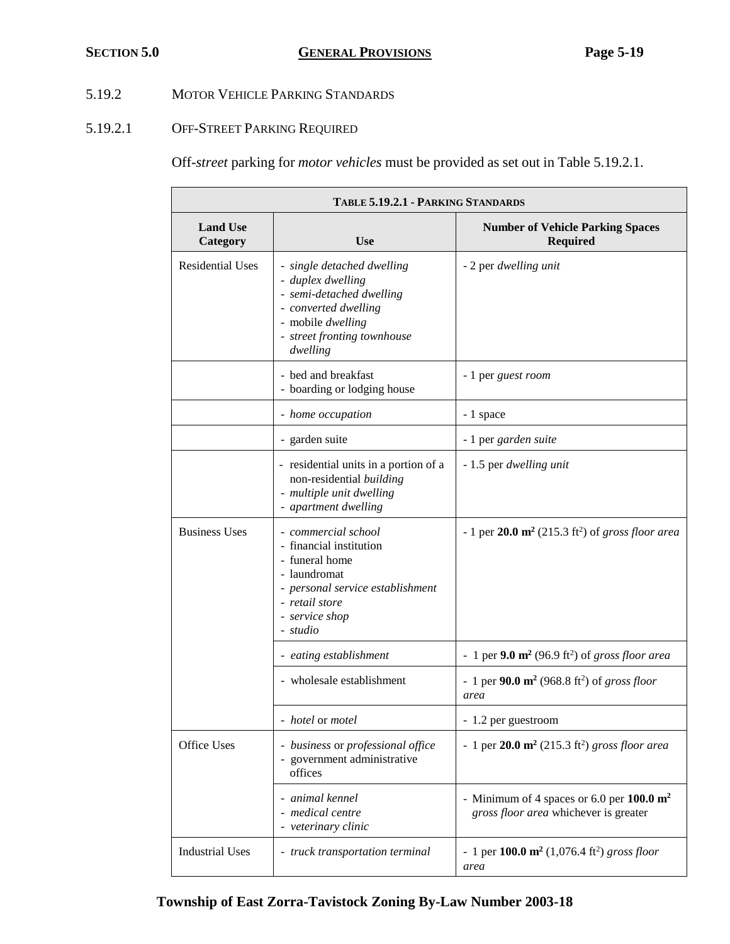# 5.19.2 MOTOR VEHICLE PARKING STANDARDS

# 5.19.2.1 OFF-STREET PARKING REQUIRED

Off-*street* parking for *motor vehicles* must be provided as set out in Table 5.19.2.1.

| TABLE 5.19.2.1 - PARKING STANDARDS |                                                                                                                                                                      |                                                                                               |  |
|------------------------------------|----------------------------------------------------------------------------------------------------------------------------------------------------------------------|-----------------------------------------------------------------------------------------------|--|
| <b>Land Use</b><br>Category        | <b>Use</b>                                                                                                                                                           | <b>Number of Vehicle Parking Spaces</b><br><b>Required</b>                                    |  |
| <b>Residential Uses</b>            | - single detached dwelling<br>- duplex dwelling<br>- semi-detached dwelling<br>- converted dwelling<br>- mobile dwelling<br>- street fronting townhouse<br>dwelling  | - 2 per dwelling unit                                                                         |  |
|                                    | - bed and breakfast<br>- boarding or lodging house                                                                                                                   | - 1 per guest room                                                                            |  |
|                                    | - home occupation                                                                                                                                                    | - 1 space                                                                                     |  |
|                                    | - garden suite                                                                                                                                                       | - 1 per garden suite                                                                          |  |
|                                    | - residential units in a portion of a<br>non-residential building<br>- multiple unit dwelling<br>- apartment dwelling                                                | - 1.5 per dwelling unit                                                                       |  |
| <b>Business Uses</b>               | - commercial school<br>- financial institution<br>- funeral home<br>- laundromat<br>- personal service establishment<br>- retail store<br>- service shop<br>- studio | - 1 per $20.0 \text{ m}^2$ (215.3 ft <sup>2</sup> ) of gross floor area                       |  |
|                                    | - eating establishment                                                                                                                                               | - 1 per $9.0 \text{ m}^2$ (96.9 ft <sup>2</sup> ) of gross floor area                         |  |
|                                    | - wholesale establishment                                                                                                                                            | - 1 per 90.0 $m^2$ (968.8 ft <sup>2</sup> ) of gross floor<br>area                            |  |
|                                    | - <i>hotel</i> or <i>motel</i>                                                                                                                                       | - 1.2 per guestroom                                                                           |  |
| Office Uses                        | - business or professional office<br>- government administrative<br>offices                                                                                          | - 1 per $20.0 \text{ m}^2$ (215.3 ft <sup>2</sup> ) gross floor area                          |  |
|                                    | - animal kennel<br>- medical centre<br>- veterinary clinic                                                                                                           | - Minimum of 4 spaces or 6.0 per $100.0 \text{ m}^2$<br>gross floor area whichever is greater |  |
| <b>Industrial Uses</b>             | - truck transportation terminal                                                                                                                                      | - 1 per 100.0 $m^2$ (1,076.4 ft <sup>2</sup> ) gross floor<br>area                            |  |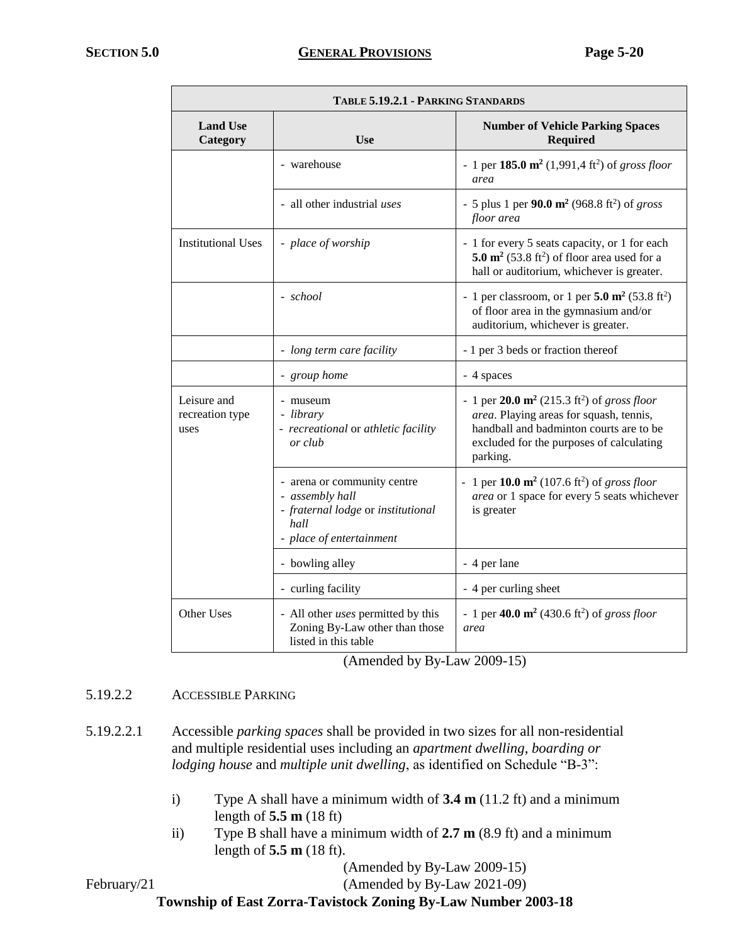| TABLE 5.19.2.1 - PARKING STANDARDS     |                                                                                                                          |                                                                                                                                                                                                          |  |
|----------------------------------------|--------------------------------------------------------------------------------------------------------------------------|----------------------------------------------------------------------------------------------------------------------------------------------------------------------------------------------------------|--|
| <b>Land Use</b><br>Category            | <b>Number of Vehicle Parking Spaces</b><br><b>Use</b><br><b>Required</b>                                                 |                                                                                                                                                                                                          |  |
|                                        | - warehouse                                                                                                              | - 1 per 185.0 $m^2$ (1,991,4 ft <sup>2</sup> ) of gross floor<br>area                                                                                                                                    |  |
|                                        | - all other industrial uses                                                                                              | - 5 plus 1 per 90.0 $m^2$ (968.8 ft <sup>2</sup> ) of gross<br>floor area                                                                                                                                |  |
| <b>Institutional Uses</b>              | - place of worship                                                                                                       | - 1 for every 5 seats capacity, or 1 for each<br>5.0 $\text{m}^2$ (53.8 ft <sup>2</sup> ) of floor area used for a<br>hall or auditorium, whichever is greater.                                          |  |
|                                        | - school                                                                                                                 | - 1 per classroom, or 1 per 5.0 $m^2$ (53.8 ft <sup>2</sup> )<br>of floor area in the gymnasium and/or<br>auditorium, whichever is greater.                                                              |  |
|                                        | - long term care facility                                                                                                | - 1 per 3 beds or fraction thereof                                                                                                                                                                       |  |
|                                        | - group home                                                                                                             | - 4 spaces                                                                                                                                                                                               |  |
| Leisure and<br>recreation type<br>uses | - museum<br>- library<br>- recreational or athletic facility<br>or club                                                  | - 1 per 20.0 $m^2$ (215.3 ft <sup>2</sup> ) of gross floor<br>area. Playing areas for squash, tennis,<br>handball and badminton courts are to be<br>excluded for the purposes of calculating<br>parking. |  |
|                                        | - arena or community centre<br>- assembly hall<br>- fraternal lodge or institutional<br>hall<br>- place of entertainment | - 1 per 10.0 $m^2$ (107.6 ft <sup>2</sup> ) of gross floor<br>area or 1 space for every 5 seats whichever<br>is greater                                                                                  |  |
|                                        | - bowling alley                                                                                                          | - 4 per lane                                                                                                                                                                                             |  |
|                                        | - curling facility                                                                                                       | - 4 per curling sheet                                                                                                                                                                                    |  |
| Other Uses                             | - All other uses permitted by this<br>Zoning By-Law other than those<br>listed in this table                             | - 1 per 40.0 $m^2$ (430.6 ft <sup>2</sup> ) of gross floor<br>area                                                                                                                                       |  |

(Amended by By-Law 2009-15)

# 5.19.2.2 ACCESSIBLE PARKING

- 5.19.2.2.1 Accessible *parking spaces* shall be provided in two sizes for all non-residential and multiple residential uses including an *apartment dwelling*, *boarding or lodging house* and *multiple unit dwelling*, as identified on Schedule "B-3":
	- i) Type A shall have a minimum width of **3.4 m** (11.2 ft) and a minimum length of **5.5 m** (18 ft)
	- ii) Type B shall have a minimum width of **2.7 m** (8.9 ft) and a minimum length of **5.5 m** (18 ft).

(Amended by By-Law 2009-15)

February/21 (Amended by By-Law 2021-09)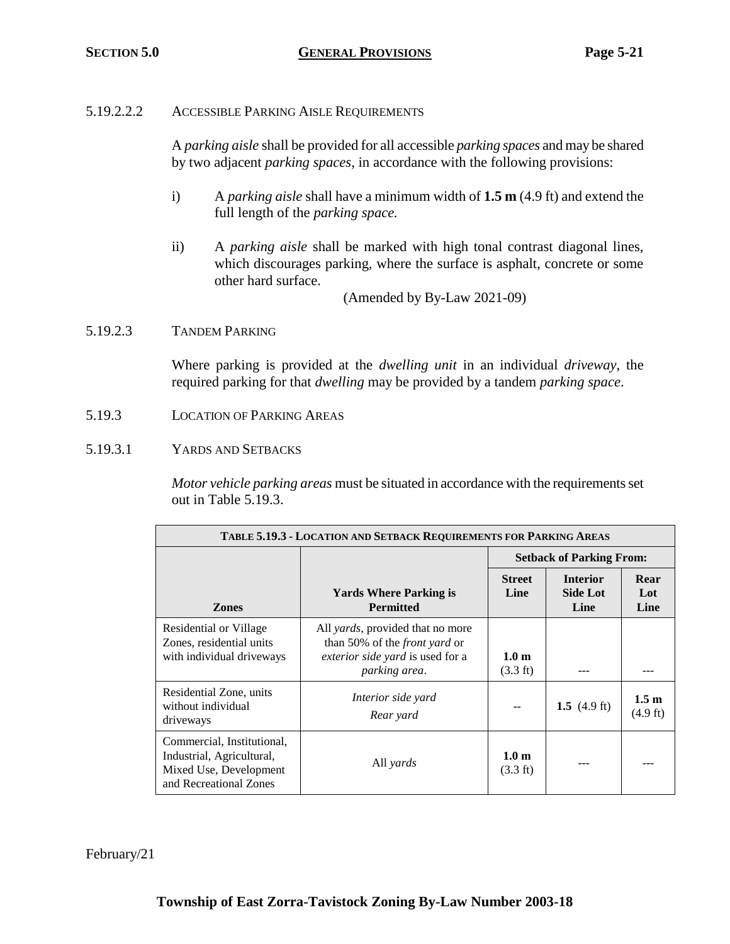## 5.19.2.2.2 ACCESSIBLE PARKING AISLE REQUIREMENTS

A *parking aisle* shall be provided for all accessible *parking spaces* and may be shared by two adjacent *parking spaces*, in accordance with the following provisions:

- i) A *parking aisle* shall have a minimum width of **1.5 m** (4.9 ft) and extend the full length of the *parking space.*
- ii) A *parking aisle* shall be marked with high tonal contrast diagonal lines, which discourages parking, where the surface is asphalt, concrete or some other hard surface.

(Amended by By-Law 2021-09)

## 5.19.2.3 TANDEM PARKING

Where parking is provided at the *dwelling unit* in an individual *driveway*, the required parking for that *dwelling* may be provided by a tandem *parking space*.

- 5.19.3 LOCATION OF PARKING AREAS
- 5.19.3.1 YARDS AND SETBACKS

*Motor vehicle parking areas* must be situated in accordance with the requirements set out in Table 5.19.3.

| <b>TABLE 5.19.3 - LOCATION AND SETBACK REQUIREMENTS FOR PARKING AREAS</b>                                   |                                                                                                                                       |                                        |                                            |                                        |  |
|-------------------------------------------------------------------------------------------------------------|---------------------------------------------------------------------------------------------------------------------------------------|----------------------------------------|--------------------------------------------|----------------------------------------|--|
|                                                                                                             | <b>Setback of Parking From:</b>                                                                                                       |                                        |                                            |                                        |  |
| <b>Zones</b>                                                                                                | <b>Yards Where Parking is</b><br><b>Permitted</b>                                                                                     | <b>Street</b><br>Line                  | <b>Interior</b><br><b>Side Lot</b><br>Line | Rear<br>Lot<br>Line                    |  |
| Residential or Village<br>Zones, residential units<br>with individual driveways                             | All <i>yards</i> , provided that no more<br>than 50% of the <i>front yard</i> or<br>exterior side yard is used for a<br>parking area. | 1.0 <sub>m</sub><br>$(3.3 \text{ ft})$ |                                            |                                        |  |
| Residential Zone, units<br>without individual<br>driveways                                                  | Interior side yard<br>Rear yard                                                                                                       |                                        | 1.5 $(4.9 \text{ ft})$                     | 1.5 <sub>m</sub><br>$(4.9 \text{ ft})$ |  |
| Commercial, Institutional,<br>Industrial, Agricultural,<br>Mixed Use, Development<br>and Recreational Zones | All yards                                                                                                                             | 1.0 <sub>m</sub><br>$(3.3 \text{ ft})$ |                                            |                                        |  |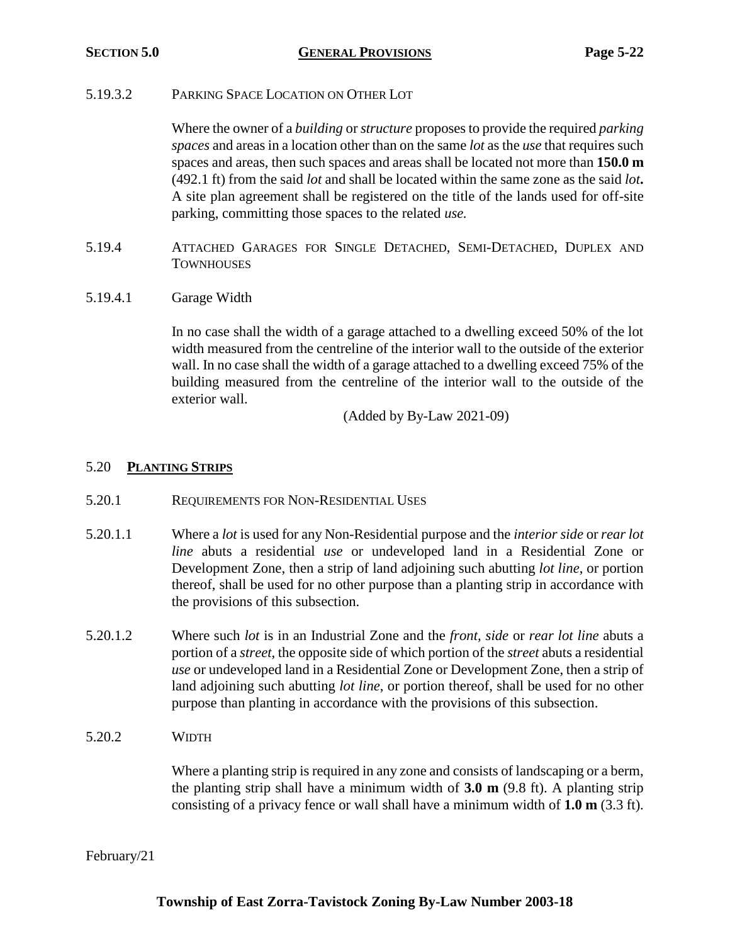## 5.19.3.2 PARKING SPACE LOCATION ON OTHER LOT

Where the owner of a *building* or *structure* proposes to provide the required *parking spaces* and areas in a location other than on the same *lot* as the *use* that requires such spaces and areas, then such spaces and areas shall be located not more than **150.0 m** (492.1 ft) from the said *lot* and shall be located within the same zone as the said *lot***.** A site plan agreement shall be registered on the title of the lands used for off-site parking, committing those spaces to the related *use.*

- 5.19.4 ATTACHED GARAGES FOR SINGLE DETACHED, SEMI-DETACHED, DUPLEX AND **TOWNHOUSES**
- 5.19.4.1 Garage Width

In no case shall the width of a garage attached to a dwelling exceed 50% of the lot width measured from the centreline of the interior wall to the outside of the exterior wall. In no case shall the width of a garage attached to a dwelling exceed 75% of the building measured from the centreline of the interior wall to the outside of the exterior wall.

(Added by By-Law 2021-09)

## 5.20 **PLANTING STRIPS**

- 5.20.1 REQUIREMENTS FOR NON-RESIDENTIAL USES
- 5.20.1.1 Where a *lot* is used for any Non-Residential purpose and the *interior side* or *rear lot line* abuts a residential *use* or undeveloped land in a Residential Zone or Development Zone, then a strip of land adjoining such abutting *lot line*, or portion thereof, shall be used for no other purpose than a planting strip in accordance with the provisions of this subsection.
- 5.20.1.2 Where such *lot* is in an Industrial Zone and the *front, side* or *rear lot line* abuts a portion of a *street*, the opposite side of which portion of the *street* abuts a residential *use* or undeveloped land in a Residential Zone or Development Zone, then a strip of land adjoining such abutting *lot line*, or portion thereof, shall be used for no other purpose than planting in accordance with the provisions of this subsection.
- 5.20.2 WIDTH

Where a planting strip is required in any zone and consists of landscaping or a berm, the planting strip shall have a minimum width of **3.0 m** (9.8 ft). A planting strip consisting of a privacy fence or wall shall have a minimum width of **1.0 m** (3.3 ft).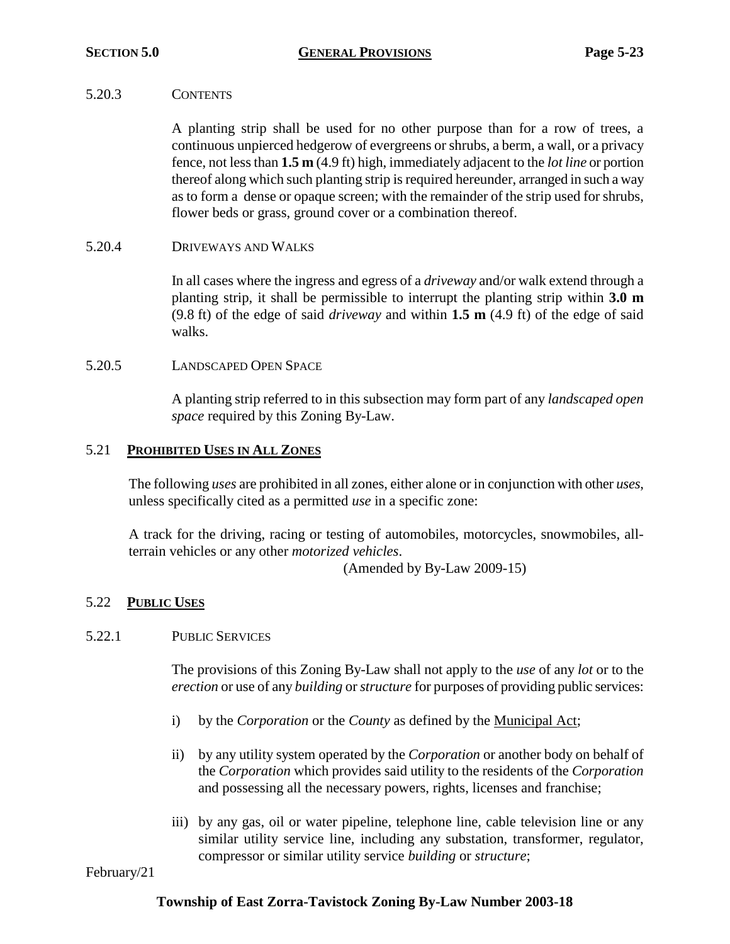## 5.20.3 CONTENTS

A planting strip shall be used for no other purpose than for a row of trees, a continuous unpierced hedgerow of evergreens or shrubs, a berm, a wall, or a privacy fence, not less than **1.5 m** (4.9 ft) high, immediately adjacent to the *lot line* or portion thereof along which such planting strip is required hereunder, arranged in such a way as to form a dense or opaque screen; with the remainder of the strip used for shrubs, flower beds or grass, ground cover or a combination thereof.

## 5.20.4 DRIVEWAYS AND WALKS

In all cases where the ingress and egress of a *driveway* and/or walk extend through a planting strip, it shall be permissible to interrupt the planting strip within **3.0 m** (9.8 ft) of the edge of said *driveway* and within **1.5 m** (4.9 ft) of the edge of said walks.

## 5.20.5 LANDSCAPED OPEN SPACE

A planting strip referred to in this subsection may form part of any *landscaped open space* required by this Zoning By-Law.

## 5.21 **PROHIBITED USES IN ALL ZONES**

The following *uses* are prohibited in all zones, either alone or in conjunction with other *uses*, unless specifically cited as a permitted *use* in a specific zone:

A track for the driving, racing or testing of automobiles, motorcycles, snowmobiles, allterrain vehicles or any other *motorized vehicles*.

(Amended by By-Law 2009-15)

# 5.22 **PUBLIC USES**

## 5.22.1 PUBLIC SERVICES

The provisions of this Zoning By-Law shall not apply to the *use* of any *lot* or to the *erection* or use of any *building* or *structure* for purposes of providing public services:

- i) by the *Corporation* or the *County* as defined by the Municipal Act;
- ii) by any utility system operated by the *Corporation* or another body on behalf of the *Corporation* which provides said utility to the residents of the *Corporation* and possessing all the necessary powers, rights, licenses and franchise;
- iii) by any gas, oil or water pipeline, telephone line, cable television line or any similar utility service line, including any substation, transformer, regulator, compressor or similar utility service *building* or *structure*;

February/21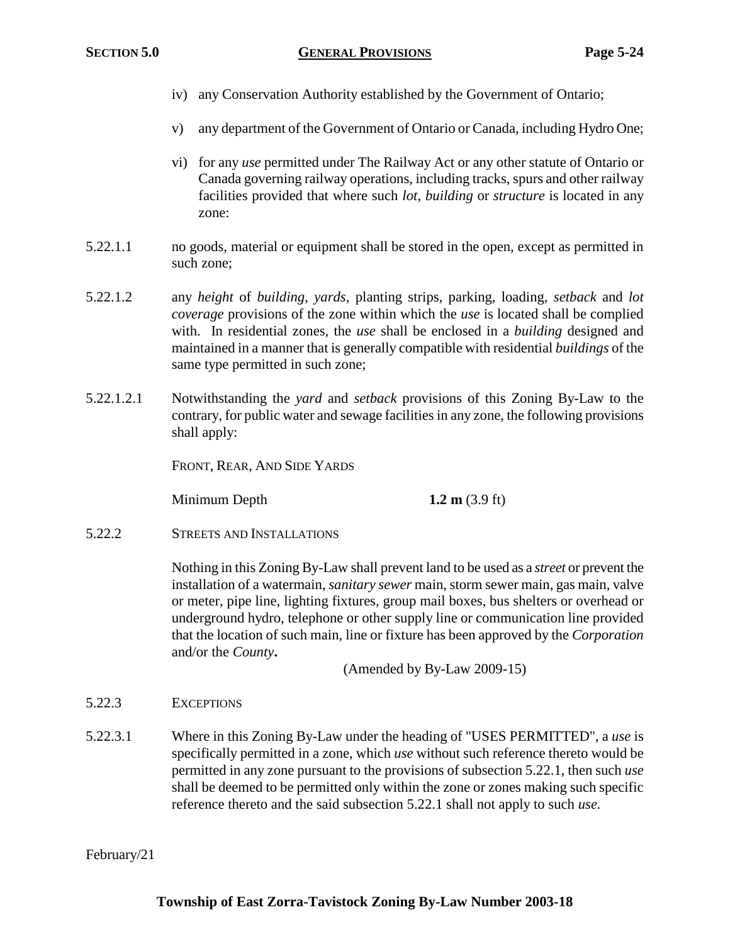- iv) any Conservation Authority established by the Government of Ontario;
- v) any department of the Government of Ontario or Canada, including Hydro One;
- vi) for any *use* permitted under The Railway Act or any other statute of Ontario or Canada governing railway operations, including tracks, spurs and other railway facilities provided that where such *lot*, *building* or *structure* is located in any zone:
- 5.22.1.1 no goods, material or equipment shall be stored in the open, except as permitted in such zone;
- 5.22.1.2 any *height* of *building*, *yards*, planting strips, parking, loading, *setback* and *lot coverage* provisions of the zone within which the *use* is located shall be complied with. In residential zones, the *use* shall be enclosed in a *building* designed and maintained in a manner that is generally compatible with residential *buildings* of the same type permitted in such zone;
- 5.22.1.2.1 Notwithstanding the *yard* and *setback* provisions of this Zoning By-Law to the contrary, for public water and sewage facilities in any zone, the following provisions shall apply:

FRONT, REAR, AND SIDE YARDS

**Minimum Depth 1.2 m** (3.9 ft)

5.22.2 STREETS AND INSTALLATIONS

Nothing in this Zoning By-Law shall prevent land to be used as a *street* or prevent the installation of a watermain, *sanitary sewer* main, storm sewer main, gas main, valve or meter, pipe line, lighting fixtures, group mail boxes, bus shelters or overhead or underground hydro, telephone or other supply line or communication line provided that the location of such main, line or fixture has been approved by the *Corporation* and/or the *County***.**

(Amended by By-Law 2009-15)

5.22.3 EXCEPTIONS

5.22.3.1 Where in this Zoning By-Law under the heading of "USES PERMITTED", a *use* is specifically permitted in a zone, which *use* without such reference thereto would be permitted in any zone pursuant to the provisions of subsection 5.22.1, then such *use*  shall be deemed to be permitted only within the zone or zones making such specific reference thereto and the said subsection 5.22.1 shall not apply to such *use.*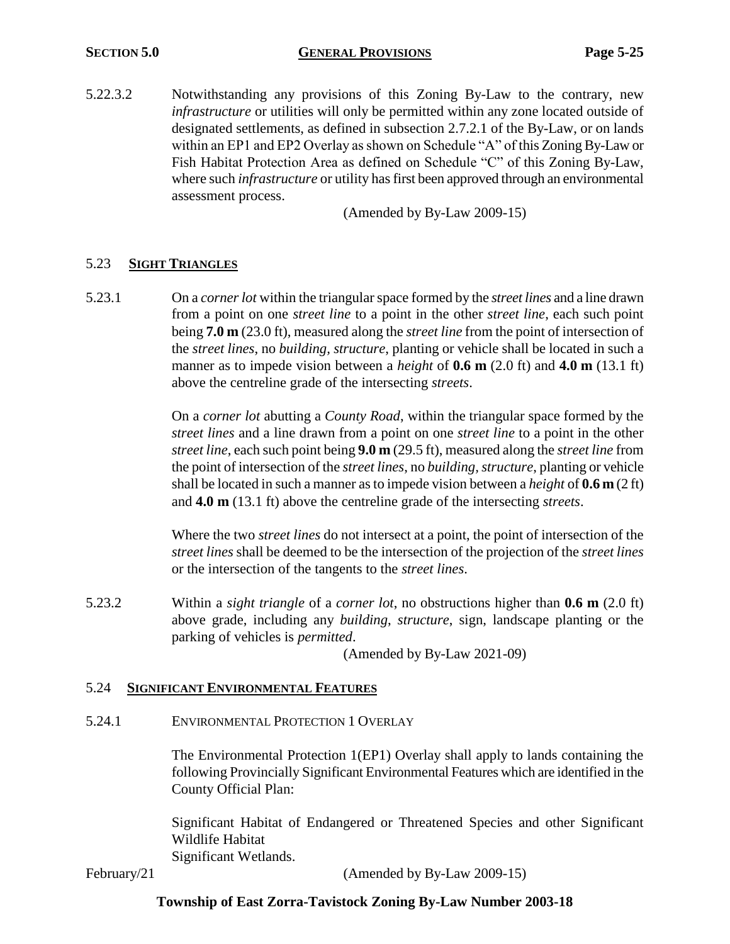## **SECTION 5.0 GENERAL PROVISIONS Page 5-25**

5.22.3.2 Notwithstanding any provisions of this Zoning By-Law to the contrary, new *infrastructure* or utilities will only be permitted within any zone located outside of designated settlements, as defined in subsection 2.7.2.1 of the By-Law, or on lands within an EP1 and EP2 Overlay as shown on Schedule "A" of this Zoning By-Law or Fish Habitat Protection Area as defined on Schedule "C" of this Zoning By-Law, where such *infrastructure* or utility has first been approved through an environmental assessment process.

(Amended by By-Law 2009-15)

# 5.23 **SIGHT TRIANGLES**

5.23.1 On a *corner lot* within the triangular space formed by the *street lines* and a line drawn from a point on one *street line* to a point in the other *street line*, each such point being **7.0 m** (23.0 ft), measured along the *street line* from the point of intersection of the *street lines*, no *building, structure*, planting or vehicle shall be located in such a manner as to impede vision between a *height* of **0.6 m** (2.0 ft) and **4.0 m** (13.1 ft) above the centreline grade of the intersecting *streets*.

> On a *corner lot* abutting a *County Road*, within the triangular space formed by the *street lines* and a line drawn from a point on one *street line* to a point in the other *street line*, each such point being **9.0 m** (29.5 ft), measured along the *street line* from the point of intersection of the *street lines*, no *building, structure*, planting or vehicle shall be located in such a manner as to impede vision between a *height* of **0.6 m** (2 ft) and **4.0 m** (13.1 ft) above the centreline grade of the intersecting *streets*.

> Where the two *street lines* do not intersect at a point, the point of intersection of the *street lines* shall be deemed to be the intersection of the projection of the *street lines* or the intersection of the tangents to the *street lines*.

5.23.2 Within a *sight triangle* of a *corner lot*, no obstructions higher than **0.6 m** (2.0 ft) above grade, including any *building*, *structure*, sign, landscape planting or the parking of vehicles is *permitted*.

(Amended by By-Law 2021-09)

## 5.24 **SIGNIFICANT ENVIRONMENTAL FEATURES**

5.24.1 ENVIRONMENTAL PROTECTION 1 OVERLAY

The Environmental Protection 1(EP1) Overlay shall apply to lands containing the following Provincially Significant Environmental Features which are identified in the County Official Plan:

Significant Habitat of Endangered or Threatened Species and other Significant Wildlife Habitat Significant Wetlands.

February/21 (Amended by By-Law 2009-15)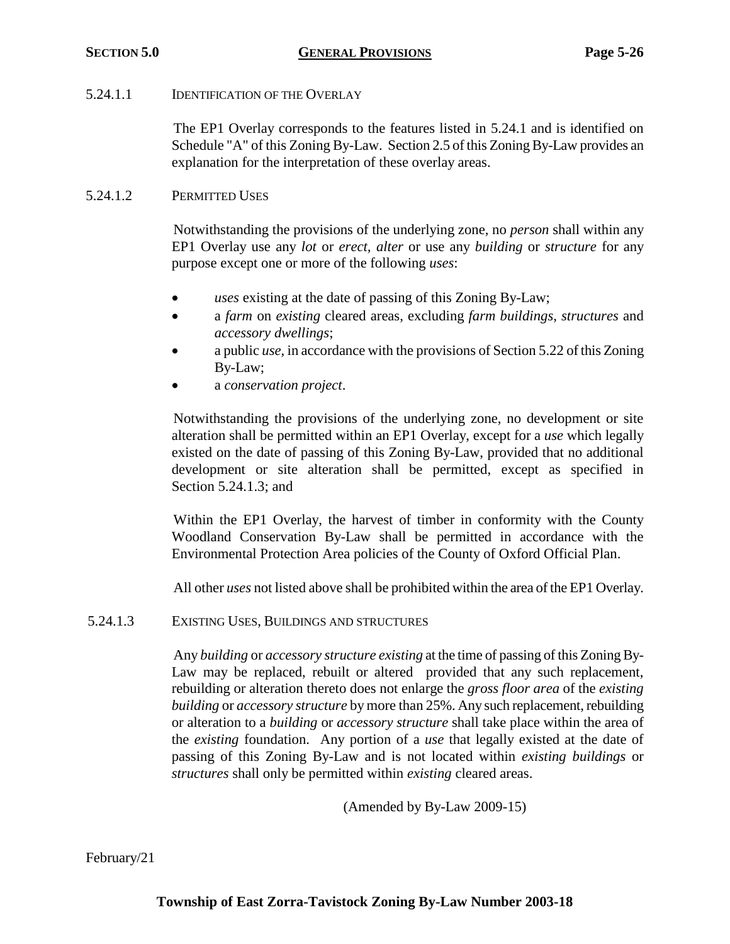## 5.24.1.1 **IDENTIFICATION OF THE OVERLAY**

The EP1 Overlay corresponds to the features listed in 5.24.1 and is identified on Schedule "A" of this Zoning By-Law. Section 2.5 of this Zoning By-Law provides an explanation for the interpretation of these overlay areas.

## 5.24.1.2 PERMITTED USES

Notwithstanding the provisions of the underlying zone, no *person* shall within any EP1 Overlay use any *lot* or *erect, alter* or use any *building* or *structure* for any purpose except one or more of the following *uses*:

- *uses* existing at the date of passing of this Zoning By-Law;
- a *farm* on *existing* cleared areas, excluding *farm buildings, structures* and *accessory dwellings*;
- a public *use*, in accordance with the provisions of Section 5.22 of this Zoning By-Law;
- a *conservation project*.

Notwithstanding the provisions of the underlying zone, no development or site alteration shall be permitted within an EP1 Overlay, except for a *use* which legally existed on the date of passing of this Zoning By-Law, provided that no additional development or site alteration shall be permitted, except as specified in Section 5.24.1.3; and

Within the EP1 Overlay, the harvest of timber in conformity with the County Woodland Conservation By-Law shall be permitted in accordance with the Environmental Protection Area policies of the County of Oxford Official Plan.

All other *uses* not listed above shall be prohibited within the area of the EP1 Overlay.

5.24.1.3 EXISTING USES, BUILDINGS AND STRUCTURES

Any *building* or *accessory structure existing* at the time of passing of this Zoning By-Law may be replaced, rebuilt or altered provided that any such replacement, rebuilding or alteration thereto does not enlarge the *gross floor area* of the *existing building* or *accessory structure* by more than 25%. Any such replacement, rebuilding or alteration to a *building* or *accessory structure* shall take place within the area of the *existing* foundation. Any portion of a *use* that legally existed at the date of passing of this Zoning By-Law and is not located within *existing buildings* or *structures* shall only be permitted within *existing* cleared areas.

(Amended by By-Law 2009-15)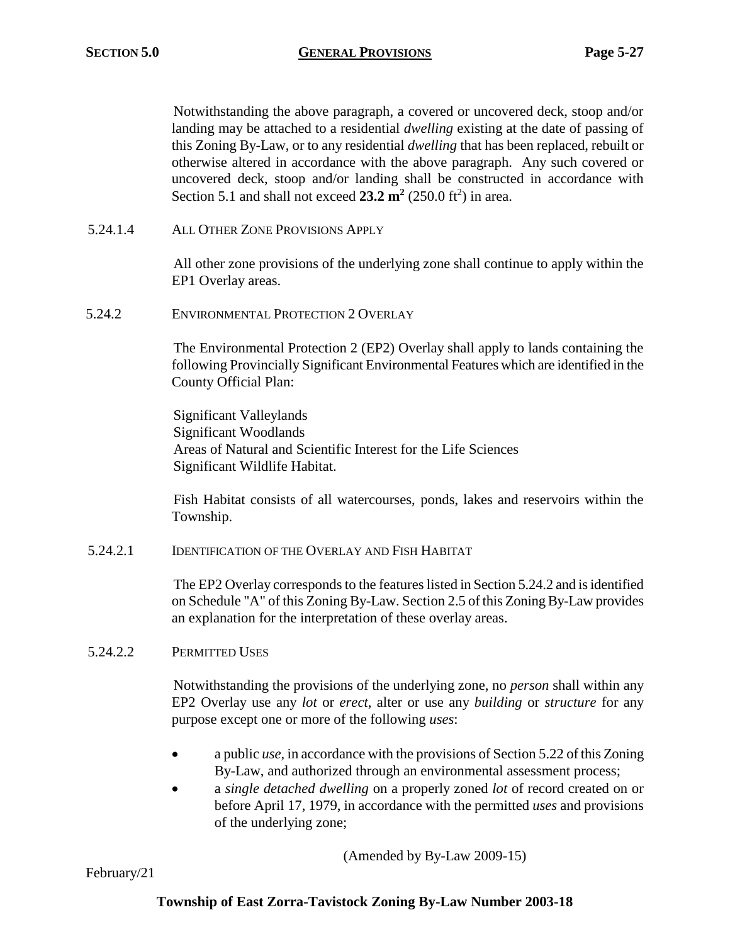Notwithstanding the above paragraph, a covered or uncovered deck, stoop and/or landing may be attached to a residential *dwelling* existing at the date of passing of this Zoning By-Law, or to any residential *dwelling* that has been replaced, rebuilt or otherwise altered in accordance with the above paragraph. Any such covered or uncovered deck, stoop and/or landing shall be constructed in accordance with Section 5.1 and shall not exceed  $23.2 \text{ m}^2$  (250.0 ft<sup>2</sup>) in area.

5.24.1.4 ALL OTHER ZONE PROVISIONS APPLY

All other zone provisions of the underlying zone shall continue to apply within the EP1 Overlay areas.

5.24.2 ENVIRONMENTAL PROTECTION 2 OVERLAY

The Environmental Protection 2 (EP2) Overlay shall apply to lands containing the following Provincially Significant Environmental Features which are identified in the County Official Plan:

Significant Valleylands Significant Woodlands Areas of Natural and Scientific Interest for the Life Sciences Significant Wildlife Habitat.

Fish Habitat consists of all watercourses, ponds, lakes and reservoirs within the Township.

5.24.2.1 IDENTIFICATION OF THE OVERLAY AND FISH HABITAT

The EP2 Overlay corresponds to the features listed in Section 5.24.2 and is identified on Schedule "A" of this Zoning By-Law. Section 2.5 of this Zoning By-Law provides an explanation for the interpretation of these overlay areas.

## 5.24.2.2 PERMITTED USES

Notwithstanding the provisions of the underlying zone, no *person* shall within any EP2 Overlay use any *lot* or *erect*, alter or use any *building* or *structure* for any purpose except one or more of the following *uses*:

- a public *use*, in accordance with the provisions of Section 5.22 of this Zoning By-Law, and authorized through an environmental assessment process;
- a *single detached dwelling* on a properly zoned *lot* of record created on or before April 17, 1979, in accordance with the permitted *uses* and provisions of the underlying zone;

(Amended by By-Law 2009-15)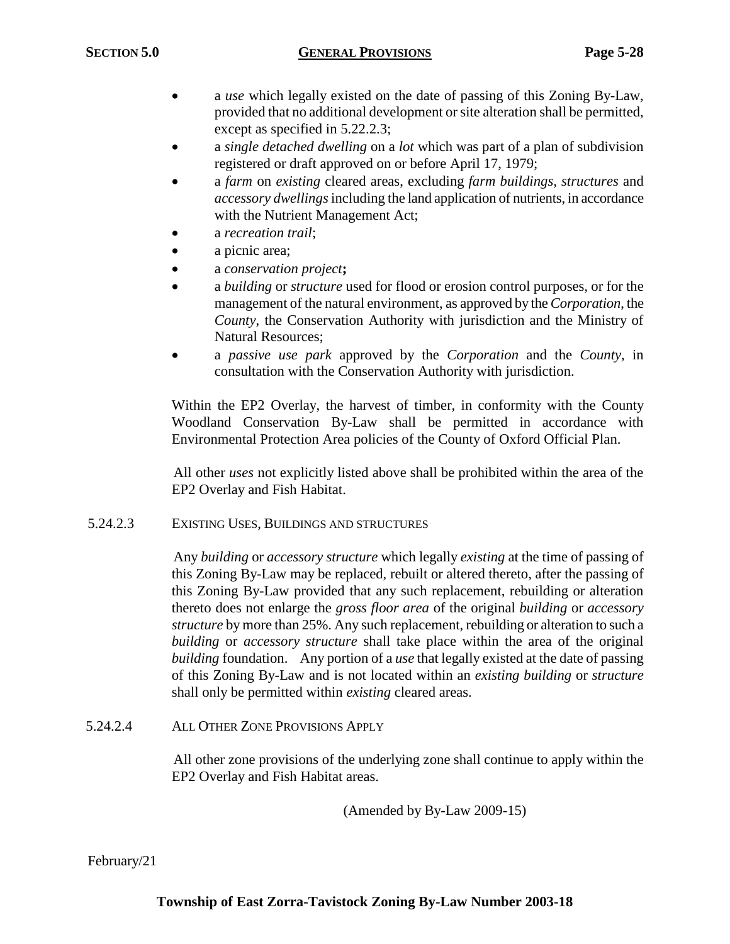- a *use* which legally existed on the date of passing of this Zoning By-Law, provided that no additional development or site alteration shall be permitted, except as specified in 5.22.2.3;
- a *single detached dwelling* on a *lot* which was part of a plan of subdivision registered or draft approved on or before April 17, 1979;
- a *farm* on *existing* cleared areas, excluding *farm buildings, structures* and *accessory dwellings*including the land application of nutrients, in accordance with the Nutrient Management Act;
- a *recreation trail*;
- a picnic area;
- a *conservation project***;**
- a *building* or *structure* used for flood or erosion control purposes, or for the management of the natural environment, as approved by the *Corporation*, the *County*, the Conservation Authority with jurisdiction and the Ministry of Natural Resources;
- a *passive use park* approved by the *Corporation* and the *County*, in consultation with the Conservation Authority with jurisdiction.

Within the EP2 Overlay, the harvest of timber, in conformity with the County Woodland Conservation By-Law shall be permitted in accordance with Environmental Protection Area policies of the County of Oxford Official Plan.

All other *uses* not explicitly listed above shall be prohibited within the area of the EP2 Overlay and Fish Habitat.

## 5.24.2.3 EXISTING USES, BUILDINGS AND STRUCTURES

Any *building* or *accessory structure* which legally *existing* at the time of passing of this Zoning By-Law may be replaced, rebuilt or altered thereto, after the passing of this Zoning By-Law provided that any such replacement, rebuilding or alteration thereto does not enlarge the *gross floor area* of the original *building* or *accessory structure* by more than 25%. Any such replacement, rebuilding or alteration to such a *building* or *accessory structure* shall take place within the area of the original *building* foundation. Any portion of a *use* that legally existed at the date of passing of this Zoning By-Law and is not located within an *existing building* or *structure* shall only be permitted within *existing* cleared areas.

# 5.24.2.4 ALL OTHER ZONE PROVISIONS APPLY

All other zone provisions of the underlying zone shall continue to apply within the EP2 Overlay and Fish Habitat areas.

(Amended by By-Law 2009-15)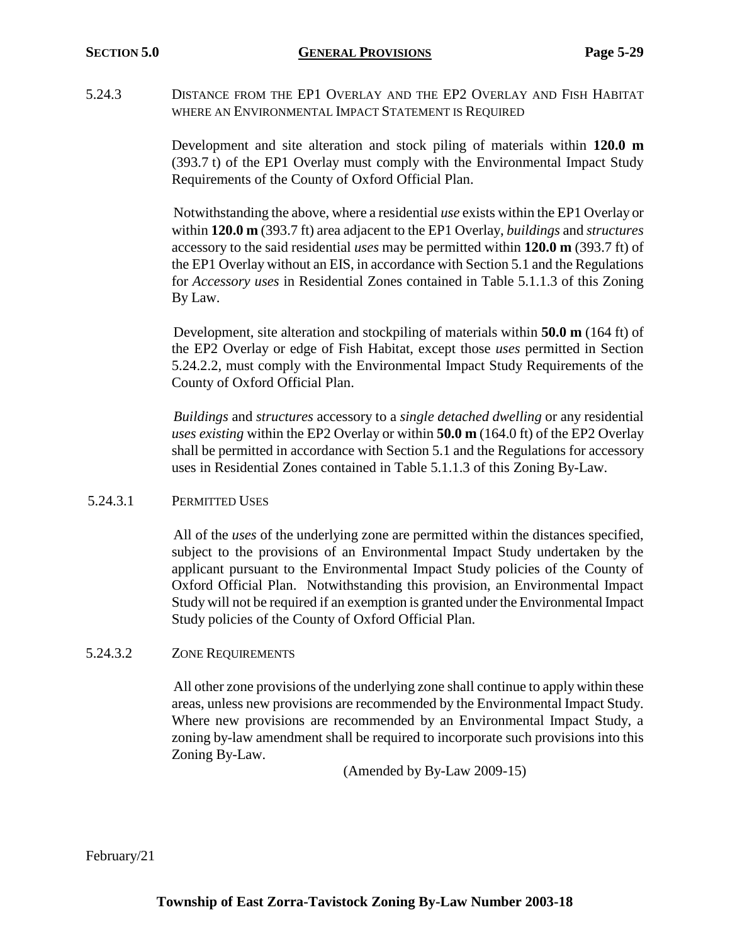5.24.3 DISTANCE FROM THE EP1 OVERLAY AND THE EP2 OVERLAY AND FISH HABITAT WHERE AN ENVIRONMENTAL IMPACT STATEMENT IS REQUIRED

> Development and site alteration and stock piling of materials within **120.0 m** (393.7 t) of the EP1 Overlay must comply with the Environmental Impact Study Requirements of the County of Oxford Official Plan.

> Notwithstanding the above, where a residential *use* exists within the EP1 Overlay or within **120.0 m** (393.7 ft) area adjacent to the EP1 Overlay, *buildings* and *structures* accessory to the said residential *uses* may be permitted within **120.0 m** (393.7 ft) of the EP1 Overlay without an EIS, in accordance with Section 5.1 and the Regulations for *Accessory uses* in Residential Zones contained in Table 5.1.1.3 of this Zoning By Law.

> Development, site alteration and stockpiling of materials within **50.0 m** (164 ft) of the EP2 Overlay or edge of Fish Habitat, except those *uses* permitted in Section 5.24.2.2, must comply with the Environmental Impact Study Requirements of the County of Oxford Official Plan.

> *Buildings* and *structures* accessory to a *single detached dwelling* or any residential *uses existing* within the EP2 Overlay or within **50.0 m** (164.0 ft) of the EP2 Overlay shall be permitted in accordance with Section 5.1 and the Regulations for accessory uses in Residential Zones contained in Table 5.1.1.3 of this Zoning By-Law.

## 5.24.3.1 PERMITTED USES

All of the *uses* of the underlying zone are permitted within the distances specified, subject to the provisions of an Environmental Impact Study undertaken by the applicant pursuant to the Environmental Impact Study policies of the County of Oxford Official Plan. Notwithstanding this provision, an Environmental Impact Study will not be required if an exemption is granted under the Environmental Impact Study policies of the County of Oxford Official Plan.

## 5.24.3.2 ZONE REQUIREMENTS

All other zone provisions of the underlying zone shall continue to apply within these areas, unless new provisions are recommended by the Environmental Impact Study. Where new provisions are recommended by an Environmental Impact Study, a zoning by-law amendment shall be required to incorporate such provisions into this Zoning By-Law.

(Amended by By-Law 2009-15)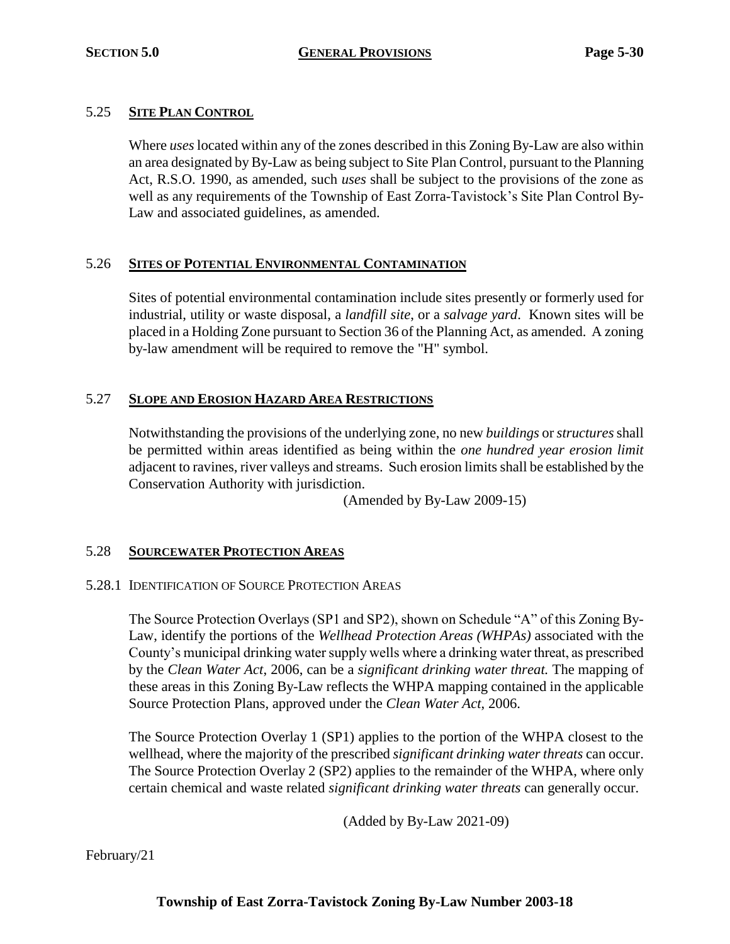# 5.25 **SITE PLAN CONTROL**

Where *uses* located within any of the zones described in this Zoning By-Law are also within an area designated by By-Law as being subject to Site Plan Control, pursuant to the Planning Act, R.S.O. 1990, as amended, such *uses* shall be subject to the provisions of the zone as well as any requirements of the Township of East Zorra-Tavistock's Site Plan Control By-Law and associated guidelines, as amended.

# 5.26 **SITES OF POTENTIAL ENVIRONMENTAL CONTAMINATION**

Sites of potential environmental contamination include sites presently or formerly used for industrial, utility or waste disposal, a *landfill site*, or a *salvage yard*. Known sites will be placed in a Holding Zone pursuant to Section 36 of the Planning Act, as amended. A zoning by-law amendment will be required to remove the "H" symbol.

# 5.27 **SLOPE AND EROSION HAZARD AREA RESTRICTIONS**

Notwithstanding the provisions of the underlying zone, no new *buildings* or *structures* shall be permitted within areas identified as being within the *one hundred year erosion limit* adjacent to ravines, river valleys and streams. Such erosion limits shall be established by the Conservation Authority with jurisdiction.

(Amended by By-Law 2009-15)

# 5.28 **SOURCEWATER PROTECTION AREAS**

## 5.28.1 IDENTIFICATION OF SOURCE PROTECTION AREAS

The Source Protection Overlays (SP1 and SP2), shown on Schedule "A" of this Zoning By-Law, identify the portions of the *Wellhead Protection Areas (WHPAs)* associated with the County's municipal drinking water supply wells where a drinking water threat, as prescribed by the *Clean Water Act*, 2006, can be a *significant drinking water threat.* The mapping of these areas in this Zoning By-Law reflects the WHPA mapping contained in the applicable Source Protection Plans, approved under the *Clean Water Act*, 2006.

The Source Protection Overlay 1 (SP1) applies to the portion of the WHPA closest to the wellhead, where the majority of the prescribed *significant drinking water threats* can occur. The Source Protection Overlay 2 (SP2) applies to the remainder of the WHPA, where only certain chemical and waste related *significant drinking water threats* can generally occur.

(Added by By-Law 2021-09)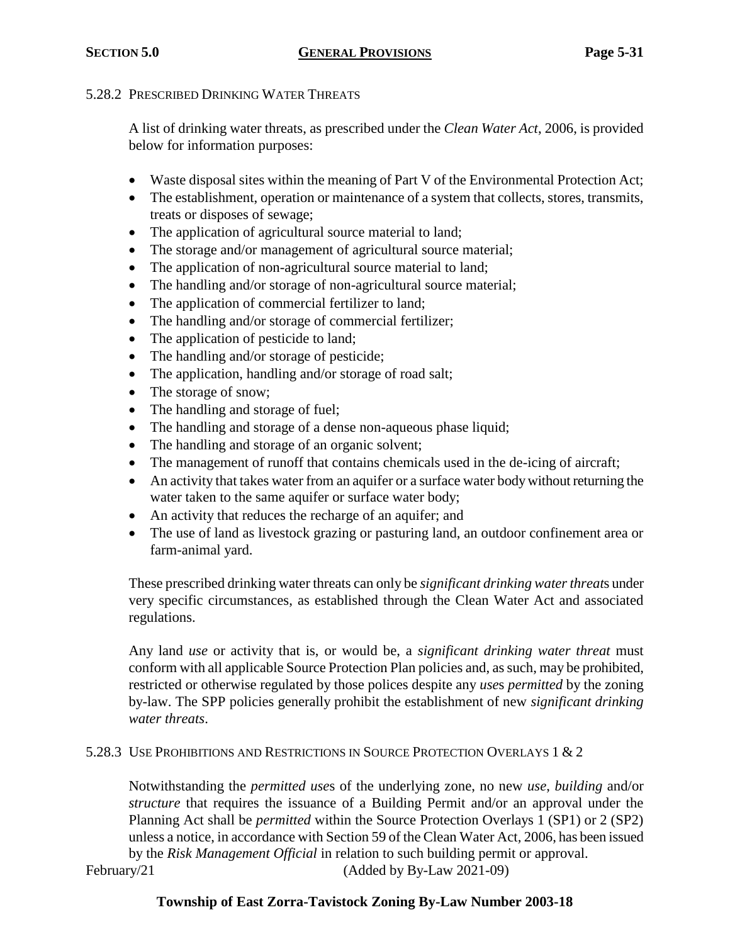## 5.28.2 PRESCRIBED DRINKING WATER THREATS

A list of drinking water threats, as prescribed under the *Clean Water Act*, 2006, is provided below for information purposes:

- Waste disposal sites within the meaning of Part V of the Environmental Protection Act;
- The establishment, operation or maintenance of a system that collects, stores, transmits, treats or disposes of sewage;
- The application of agricultural source material to land;
- The storage and/or management of agricultural source material;
- The application of non-agricultural source material to land;
- The handling and/or storage of non-agricultural source material;
- The application of commercial fertilizer to land;
- The handling and/or storage of commercial fertilizer;
- The application of pesticide to land;
- The handling and/or storage of pesticide;
- The application, handling and/or storage of road salt;
- The storage of snow;
- The handling and storage of fuel;
- The handling and storage of a dense non-aqueous phase liquid;
- The handling and storage of an organic solvent;
- The management of runoff that contains chemicals used in the de-icing of aircraft;
- An activity that takes water from an aquifer or a surface water body without returning the water taken to the same aquifer or surface water body;
- An activity that reduces the recharge of an aquifer; and
- The use of land as livestock grazing or pasturing land, an outdoor confinement area or farm-animal yard.

These prescribed drinking water threats can only be *significant drinking water threat*s under very specific circumstances, as established through the Clean Water Act and associated regulations.

Any land *use* or activity that is, or would be, a *significant drinking water threat* must conform with all applicable Source Protection Plan policies and, as such, may be prohibited, restricted or otherwise regulated by those polices despite any *use*s *permitted* by the zoning by-law. The SPP policies generally prohibit the establishment of new *significant drinking water threats*.

# 5.28.3 USE PROHIBITIONS AND RESTRICTIONS IN SOURCE PROTECTION OVERLAYS 1 & 2

Notwithstanding the *permitted use*s of the underlying zone, no new *use*, *building* and/or *structure* that requires the issuance of a Building Permit and/or an approval under the Planning Act shall be *permitted* within the Source Protection Overlays 1 (SP1) or 2 (SP2) unless a notice, in accordance with Section 59 of the Clean Water Act*,* 2006, has been issued by the *Risk Management Official* in relation to such building permit or approval.

February/21 (Added by By-Law 2021-09)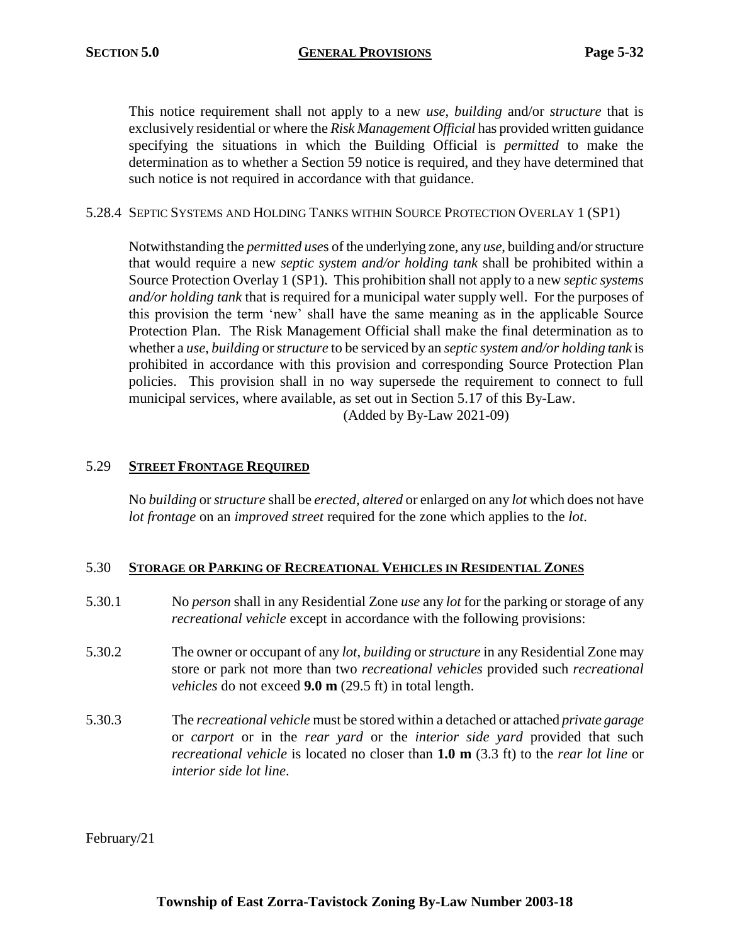This notice requirement shall not apply to a new *use*, *building* and/or *structure* that is exclusively residential or where the *Risk Management Official* has provided written guidance specifying the situations in which the Building Official is *permitted* to make the determination as to whether a Section 59 notice is required, and they have determined that such notice is not required in accordance with that guidance.

## 5.28.4 SEPTIC SYSTEMS AND HOLDING TANKS WITHIN SOURCE PROTECTION OVERLAY 1 (SP1)

Notwithstanding the *permitted use*s of the underlying zone, any *use*, building and/or structure that would require a new *septic system and/or holding tank* shall be prohibited within a Source Protection Overlay 1 (SP1). This prohibition shall not apply to a new *septic systems and/or holding tank* that is required for a municipal water supply well. For the purposes of this provision the term 'new' shall have the same meaning as in the applicable Source Protection Plan. The Risk Management Official shall make the final determination as to whether a *use*, *building* or *structure* to be serviced by an *septic system and/or holding tank* is prohibited in accordance with this provision and corresponding Source Protection Plan policies. This provision shall in no way supersede the requirement to connect to full municipal services, where available, as set out in Section 5.17 of this By-Law. (Added by By-Law 2021-09)

## 5.29 **STREET FRONTAGE REQUIRED**

No *building* or *structure* shall be *erected, altered* or enlarged on any *lot* which does not have *lot frontage* on an *improved street* required for the zone which applies to the *lot*.

## 5.30 **STORAGE OR PARKING OF RECREATIONAL VEHICLES IN RESIDENTIAL ZONES**

- 5.30.1 No *person* shall in any Residential Zone *use* any *lot* for the parking or storage of any *recreational vehicle* except in accordance with the following provisions:
- 5.30.2 The owner or occupant of any *lot*, *building* or *structure* in any Residential Zone may store or park not more than two *recreational vehicles* provided such *recreational vehicles* do not exceed **9.0 m** (29.5 ft) in total length.
- 5.30.3 The *recreational vehicle* must be stored within a detached or attached *private garage* or *carport* or in the *rear yard* or the *interior side yard* provided that such *recreational vehicle* is located no closer than **1.0 m** (3.3 ft) to the *rear lot line* or *interior side lot line*.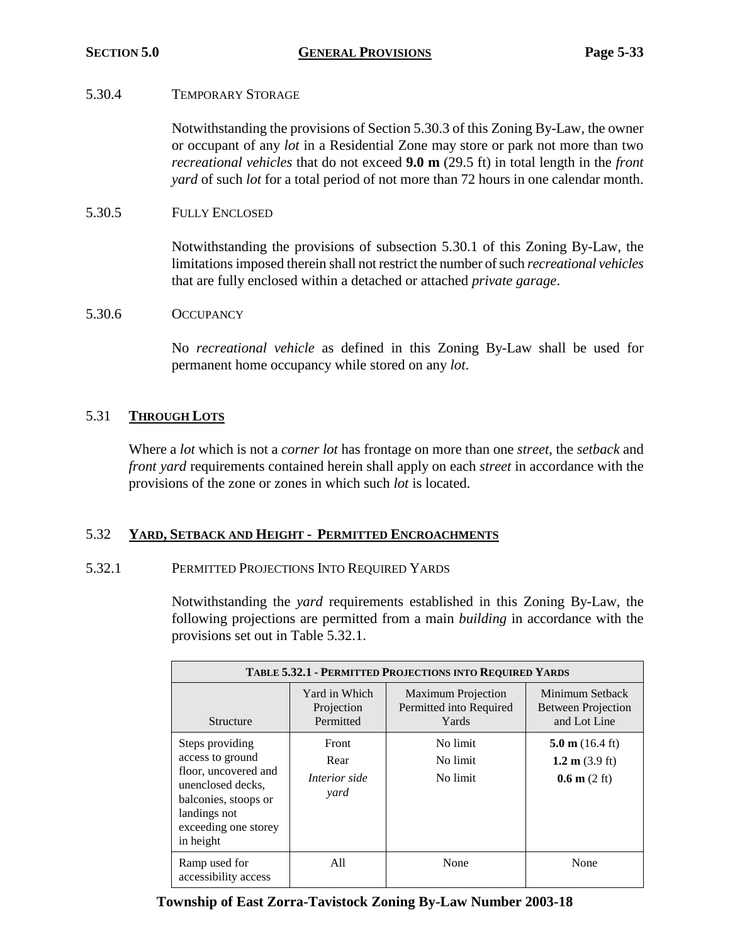## 5.30.4 TEMPORARY STORAGE

Notwithstanding the provisions of Section 5.30.3 of this Zoning By-Law, the owner or occupant of any *lot* in a Residential Zone may store or park not more than two *recreational vehicles* that do not exceed **9.0 m** (29.5 ft) in total length in the *front yard* of such *lot* for a total period of not more than 72 hours in one calendar month.

5.30.5 FULLY ENCLOSED

Notwithstanding the provisions of subsection 5.30.1 of this Zoning By-Law, the limitations imposed therein shall not restrict the number of such *recreational vehicles* that are fully enclosed within a detached or attached *private garage*.

## 5.30.6 OCCUPANCY

No *recreational vehicle* as defined in this Zoning By-Law shall be used for permanent home occupancy while stored on any *lot*.

## 5.31 **THROUGH LOTS**

Where a *lot* which is not a *corner lot* has frontage on more than one *street*, the *setback* and *front yard* requirements contained herein shall apply on each *street* in accordance with the provisions of the zone or zones in which such *lot* is located.

## 5.32 **YARD, SETBACK AND HEIGHT - PERMITTED ENCROACHMENTS**

## 5.32.1 PERMITTED PROJECTIONS INTO REQUIRED YARDS

Notwithstanding the *yard* requirements established in this Zoning By-Law, the following projections are permitted from a main *building* in accordance with the provisions set out in Table 5.32.1.

| <b>TABLE 5.32.1 - PERMITTED PROJECTIONS INTO REQUIRED YARDS</b>                                                                                               |                                               |                                                               |                                                                                 |  |
|---------------------------------------------------------------------------------------------------------------------------------------------------------------|-----------------------------------------------|---------------------------------------------------------------|---------------------------------------------------------------------------------|--|
| Structure                                                                                                                                                     | Yard in Which<br>Projection<br>Permitted      | <b>Maximum Projection</b><br>Permitted into Required<br>Yards | Minimum Setback<br><b>Between Projection</b><br>and Lot Line                    |  |
| Steps providing<br>access to ground<br>floor, uncovered and<br>unenclosed decks,<br>balconies, stoops or<br>landings not<br>exceeding one storey<br>in height | Front<br>Rear<br><i>Interior side</i><br>yard | No limit<br>No limit<br>No limit                              | $5.0 \text{ m}$ (16.4 ft)<br>1.2 m $(3.9 \text{ ft})$<br>$0.6 \text{ m}$ (2 ft) |  |
| Ramp used for<br>accessibility access                                                                                                                         | A11                                           | None                                                          | None                                                                            |  |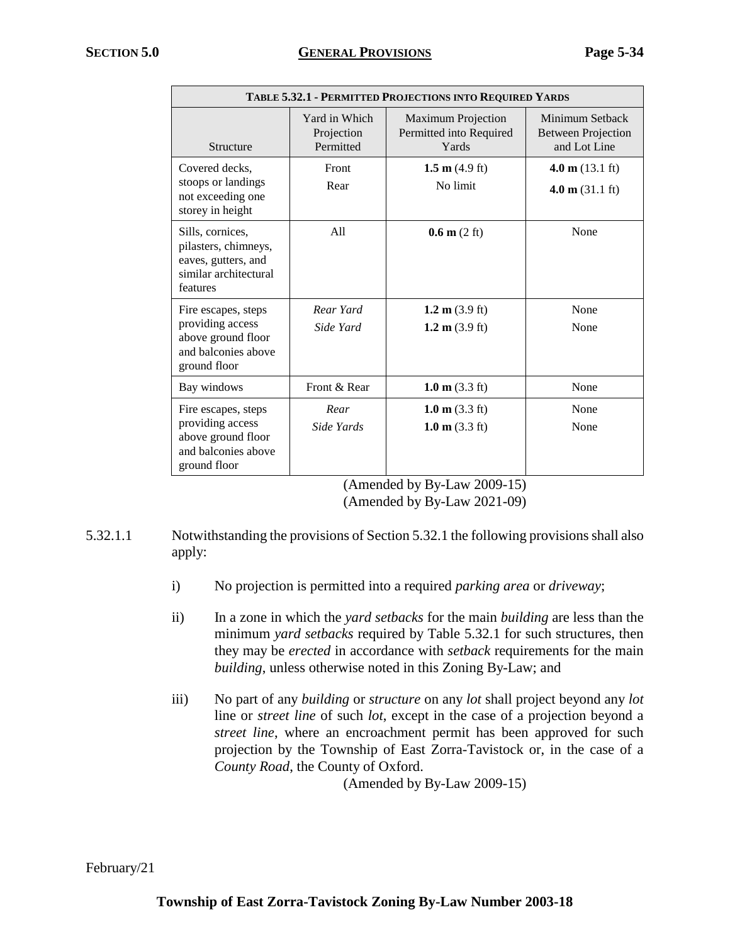| TABLE 5.32.1 - PERMITTED PROJECTIONS INTO REQUIRED YARDS                                             |                                          |                                                               |                                                              |
|------------------------------------------------------------------------------------------------------|------------------------------------------|---------------------------------------------------------------|--------------------------------------------------------------|
| Structure                                                                                            | Yard in Which<br>Projection<br>Permitted | <b>Maximum Projection</b><br>Permitted into Required<br>Yards | Minimum Setback<br><b>Between Projection</b><br>and Lot Line |
| Covered decks.<br>stoops or landings<br>not exceeding one<br>storey in height                        | Front<br>Rear                            | 1.5 m $(4.9 \text{ ft})$<br>No limit                          | 4.0 m $(13.1 \text{ ft})$<br>4.0 m $(31.1 \text{ ft})$       |
| Sills, cornices,<br>pilasters, chimneys,<br>eaves, gutters, and<br>similar architectural<br>features | A11                                      | $0.6 \text{ m}$ (2 ft)                                        | None                                                         |
| Fire escapes, steps<br>providing access<br>above ground floor<br>and balconies above<br>ground floor | Rear Yard<br>Side Yard                   | 1.2 m $(3.9 \text{ ft})$<br>1.2 m $(3.9 \text{ ft})$          | None<br>None                                                 |
| Bay windows                                                                                          | Front & Rear                             | 1.0 $m$ (3.3 ft)                                              | None                                                         |
| Fire escapes, steps<br>providing access<br>above ground floor<br>and balconies above<br>ground floor | Rear<br>Side Yards                       | 1.0 m $(3.3 \text{ ft})$<br>1.0 m $(3.3 \text{ ft})$          | None<br>None                                                 |

<sup>(</sup>Amended by By-Law 2009-15) (Amended by By-Law 2021-09)

- 5.32.1.1 Notwithstanding the provisions of Section 5.32.1 the following provisions shall also apply:
	- i) No projection is permitted into a required *parking area* or *driveway*;
	- ii) In a zone in which the *yard setbacks* for the main *building* are less than the minimum *yard setbacks* required by Table 5.32.1 for such structures, then they may be *erected* in accordance with *setback* requirements for the main *building*, unless otherwise noted in this Zoning By-Law; and
	- iii) No part of any *building* or *structure* on any *lot* shall project beyond any *lot* line or *street line* of such *lot*, except in the case of a projection beyond a *street line*, where an encroachment permit has been approved for such projection by the Township of East Zorra-Tavistock or, in the case of a *County Road*, the County of Oxford.

(Amended by By-Law 2009-15)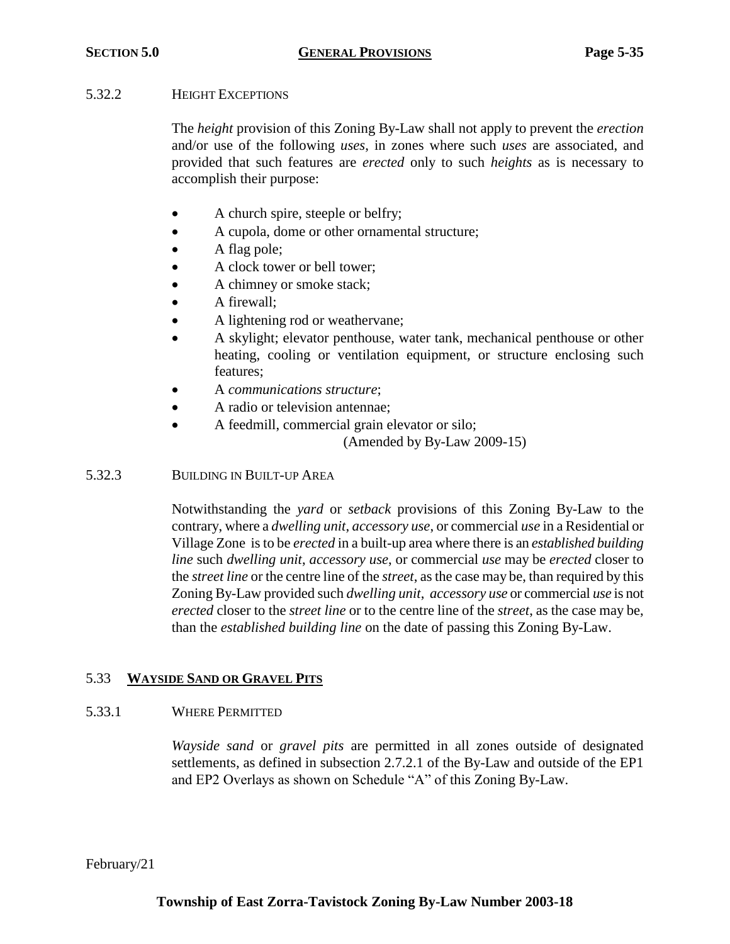## 5.32.2 HEIGHT EXCEPTIONS

The *height* provision of this Zoning By-Law shall not apply to prevent the *erection*  and/or use of the following *uses*, in zones where such *uses* are associated, and provided that such features are *erected* only to such *heights* as is necessary to accomplish their purpose:

- A church spire, steeple or belfry;
- A cupola, dome or other ornamental structure;
- A flag pole;
- A clock tower or bell tower;
- A chimney or smoke stack;
- A firewall;
- A lightening rod or weathervane;
- A skylight; elevator penthouse, water tank, mechanical penthouse or other heating, cooling or ventilation equipment, or structure enclosing such features;
- A *communications structure*;
- A radio or television antennae;
- A feedmill, commercial grain elevator or silo;

(Amended by By-Law 2009-15)

## 5.32.3 BUILDING IN BUILT-UP AREA

Notwithstanding the *yard* or *setback* provisions of this Zoning By-Law to the contrary, where a *dwelling unit*, *accessory use*, or commercial *use* in a Residential or Village Zone is to be *erected* in a built-up area where there is an *established building line* such *dwelling unit*, *accessory use*, or commercial *use* may be *erected* closer to the *street line* or the centre line of the *street*, as the case may be, than required by this Zoning By-Law provided such *dwelling unit*, *accessory use* or commercial *use* is not *erected* closer to the *street line* or to the centre line of the *street*, as the case may be, than the *established building line* on the date of passing this Zoning By-Law.

# 5.33 **WAYSIDE SAND OR GRAVEL PITS**

# 5.33.1 WHERE PERMITTED

*Wayside sand* or *gravel pits* are permitted in all zones outside of designated settlements, as defined in subsection 2.7.2.1 of the By-Law and outside of the EP1 and EP2 Overlays as shown on Schedule "A" of this Zoning By-Law.